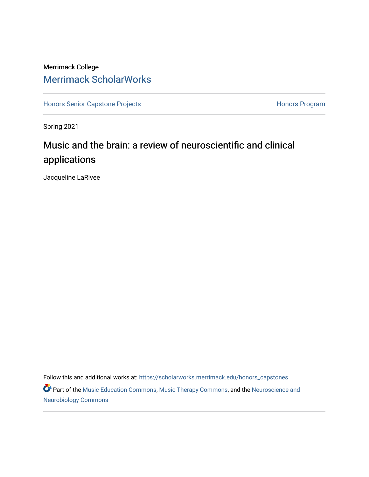## Merrimack College [Merrimack ScholarWorks](https://scholarworks.merrimack.edu/)

[Honors Senior Capstone Projects](https://scholarworks.merrimack.edu/honors_capstones) **Honors Program** Honors Program

Spring 2021

# Music and the brain: a review of neuroscientific and clinical applications

Jacqueline LaRivee

Follow this and additional works at: [https://scholarworks.merrimack.edu/honors\\_capstones](https://scholarworks.merrimack.edu/honors_capstones?utm_source=scholarworks.merrimack.edu%2Fhonors_capstones%2F60&utm_medium=PDF&utm_campaign=PDFCoverPages)

Part of the [Music Education Commons,](http://network.bepress.com/hgg/discipline/1246?utm_source=scholarworks.merrimack.edu%2Fhonors_capstones%2F60&utm_medium=PDF&utm_campaign=PDFCoverPages) [Music Therapy Commons,](http://network.bepress.com/hgg/discipline/1248?utm_source=scholarworks.merrimack.edu%2Fhonors_capstones%2F60&utm_medium=PDF&utm_campaign=PDFCoverPages) and the [Neuroscience and](http://network.bepress.com/hgg/discipline/55?utm_source=scholarworks.merrimack.edu%2Fhonors_capstones%2F60&utm_medium=PDF&utm_campaign=PDFCoverPages) [Neurobiology Commons](http://network.bepress.com/hgg/discipline/55?utm_source=scholarworks.merrimack.edu%2Fhonors_capstones%2F60&utm_medium=PDF&utm_campaign=PDFCoverPages)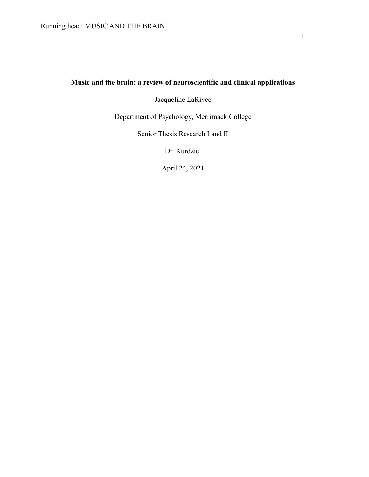## **Music and the brain: a review of neuroscientific and clinical applications**

Jacqueline LaRivee

Department of Psychology, Merrimack College

Senior Thesis Research I and II

Dr. Kurdziel

April 24, 2021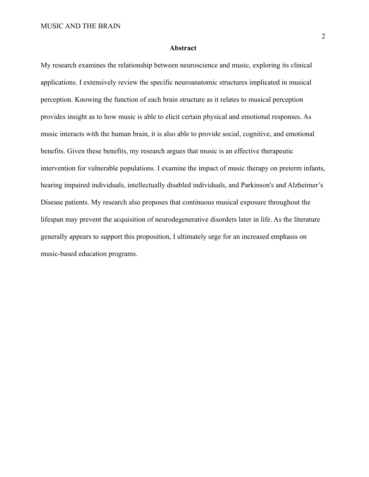#### **Abstract**

My research examines the relationship between neuroscience and music, exploring its clinical applications. I extensively review the specific neuroanatomic structures implicated in musical perception. Knowing the function of each brain structure as it relates to musical perception provides insight as to how music is able to elicit certain physical and emotional responses. As music interacts with the human brain, it is also able to provide social, cognitive, and emotional benefits. Given these benefits, my research argues that music is an effective therapeutic intervention for vulnerable populations. I examine the impact of music therapy on preterm infants, hearing impaired individuals, intellectually disabled individuals, and Parkinson's and Alzheimer's Disease patients. My research also proposes that continuous musical exposure throughout the lifespan may prevent the acquisition of neurodegenerative disorders later in life. As the literature generally appears to support this proposition, I ultimately urge for an increased emphasis on music-based education programs.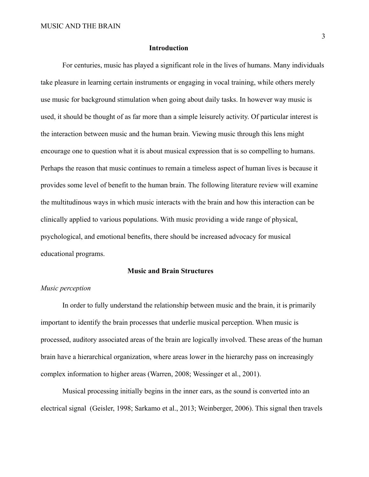#### **Introduction**

For centuries, music has played a significant role in the lives of humans. Many individuals take pleasure in learning certain instruments or engaging in vocal training, while others merely use music for background stimulation when going about daily tasks. In however way music is used, it should be thought of as far more than a simple leisurely activity. Of particular interest is the interaction between music and the human brain. Viewing music through this lens might encourage one to question what it is about musical expression that is so compelling to humans. Perhaps the reason that music continues to remain a timeless aspect of human lives is because it provides some level of benefit to the human brain. The following literature review will examine the multitudinous ways in which music interacts with the brain and how this interaction can be clinically applied to various populations. With music providing a wide range of physical, psychological, and emotional benefits, there should be increased advocacy for musical educational programs.

#### **Music and Brain Structures**

## *Music perception*

In order to fully understand the relationship between music and the brain, it is primarily important to identify the brain processes that underlie musical perception. When music is processed, auditory associated areas of the brain are logically involved. These areas of the human brain have a hierarchical organization, where areas lower in the hierarchy pass on increasingly complex information to higher areas (Warren, 2008; Wessinger et al., 2001).

Musical processing initially begins in the inner ears, as the sound is converted into an electrical signal (Geisler, 1998; Sarkamo et al., 2013; Weinberger, 2006). This signal then travels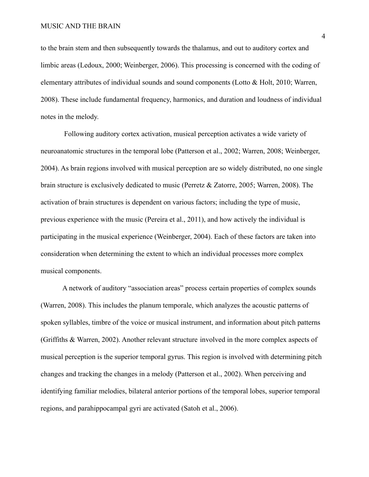to the brain stem and then subsequently towards the thalamus, and out to auditory cortex and limbic areas (Ledoux, 2000; Weinberger, 2006). This processing is concerned with the coding of elementary attributes of individual sounds and sound components (Lotto & Holt, 2010; Warren, 2008). These include fundamental frequency, harmonics, and duration and loudness of individual notes in the melody.

Following auditory cortex activation, musical perception activates a wide variety of neuroanatomic structures in the temporal lobe (Patterson et al., 2002; Warren, 2008; Weinberger, 2004). As brain regions involved with musical perception are so widely distributed, no one single brain structure is exclusively dedicated to music (Perretz & Zatorre, 2005; Warren, 2008). The activation of brain structures is dependent on various factors; including the type of music, previous experience with the music (Pereira et al., 2011), and how actively the individual is participating in the musical experience (Weinberger, 2004). Each of these factors are taken into consideration when determining the extent to which an individual processes more complex musical components.

A network of auditory "association areas" process certain properties of complex sounds (Warren, 2008). This includes the planum temporale, which analyzes the acoustic patterns of spoken syllables, timbre of the voice or musical instrument, and information about pitch patterns (Griffiths & Warren, 2002). Another relevant structure involved in the more complex aspects of musical perception is the superior temporal gyrus. This region is involved with determining pitch changes and tracking the changes in a melody (Patterson et al., 2002). When perceiving and identifying familiar melodies, bilateral anterior portions of the temporal lobes, superior temporal regions, and parahippocampal gyri are activated (Satoh et al., 2006).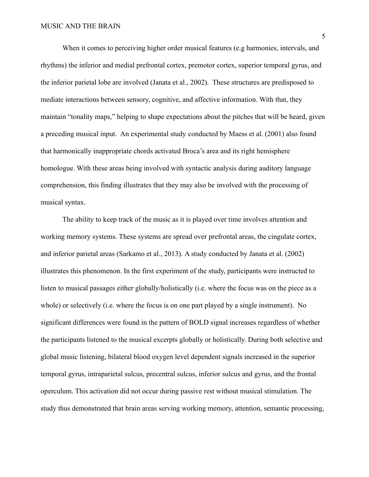When it comes to perceiving higher order musical features (e.g harmonies, intervals, and rhythms) the inferior and medial prefrontal cortex, premotor cortex, superior temporal gyrus, and the inferior parietal lobe are involved (Janata et al., 2002). These structures are predisposed to mediate interactions between sensory, cognitive, and affective information. With that, they maintain "tonality maps," helping to shape expectations about the pitches that will be heard, given a preceding musical input. An experimental study conducted by Maess et al. (2001) also found that harmonically inappropriate chords activated Broca's area and its right hemisphere homologue. With these areas being involved with syntactic analysis during auditory language comprehension, this finding illustrates that they may also be involved with the processing of musical syntax.

The ability to keep track of the music as it is played over time involves attention and working memory systems. These systems are spread over prefrontal areas, the cingulate cortex, and inferior parietal areas (Sarkamo et al., 2013). A study conducted by Janata et al. (2002) illustrates this phenomenon. In the first experiment of the study, participants were instructed to listen to musical passages either globally/holistically (i.e. where the focus was on the piece as a whole) or selectively (i.e. where the focus is on one part played by a single instrument). No significant differences were found in the pattern of BOLD signal increases regardless of whether the participants listened to the musical excerpts globally or holistically. During both selective and global music listening, bilateral blood oxygen level dependent signals increased in the superior temporal gyrus, intraparietal sulcus, precentral sulcus, inferior sulcus and gyrus, and the frontal operculum. This activation did not occur during passive rest without musical stimulation. The study thus demonstrated that brain areas serving working memory, attention, semantic processing,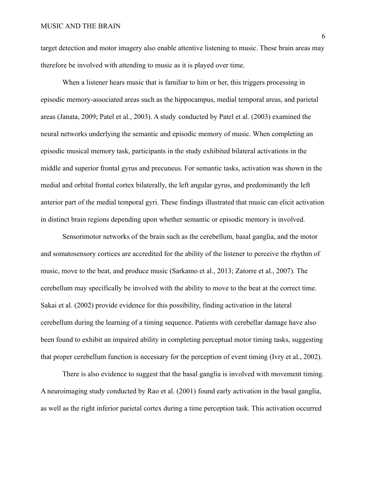target detection and motor imagery also enable attentive listening to music. These brain areas may therefore be involved with attending to music as it is played over time.

When a listener hears music that is familiar to him or her, this triggers processing in episodic memory-associated areas such as the hippocampus, medial temporal areas, and parietal areas (Janata, 2009; Patel et al., 2003). A study conducted by Patel et al. (2003) examined the neural networks underlying the semantic and episodic memory of music. When completing an episodic musical memory task, participants in the study exhibited bilateral activations in the middle and superior frontal gyrus and precuneus. For semantic tasks, activation was shown in the medial and orbital frontal cortex bilaterally, the left angular gyrus, and predominantly the left anterior part of the medial temporal gyri. These findings illustrated that music can elicit activation in distinct brain regions depending upon whether semantic or episodic memory is involved.

Sensorimotor networks of the brain such as the cerebellum, basal ganglia, and the motor and somatosensory cortices are accredited for the ability of the listener to perceive the rhythm of music, move to the beat, and produce music (Sarkamo et al., 2013; Zatorre et al., 2007). The cerebellum may specifically be involved with the ability to move to the beat at the correct time. Sakai et al. (2002) provide evidence for this possibility, finding activation in the lateral cerebellum during the learning of a timing sequence. Patients with cerebellar damage have also been found to exhibit an impaired ability in completing perceptual motor timing tasks, suggesting that proper cerebellum function is necessary for the perception of event timing (Ivry et al., 2002).

There is also evidence to suggest that the basal ganglia is involved with movement timing. A neuroimaging study conducted by Rao et al. (2001) found early activation in the basal ganglia, as well as the right inferior parietal cortex during a time perception task. This activation occurred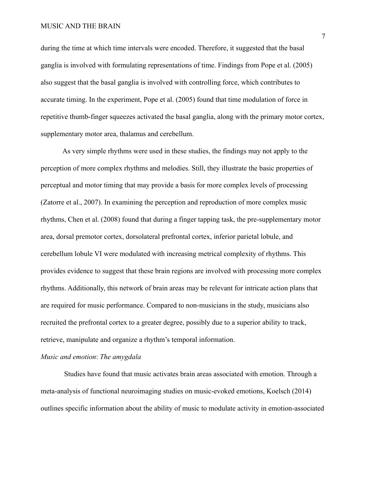during the time at which time intervals were encoded. Therefore, it suggested that the basal ganglia is involved with formulating representations of time. Findings from Pope et al. (2005) also suggest that the basal ganglia is involved with controlling force, which contributes to accurate timing. In the experiment, Pope et al. (2005) found that time modulation of force in repetitive thumb-finger squeezes activated the basal ganglia, along with the primary motor cortex, supplementary motor area, thalamus and cerebellum.

As very simple rhythms were used in these studies, the findings may not apply to the perception of more complex rhythms and melodies. Still, they illustrate the basic properties of perceptual and motor timing that may provide a basis for more complex levels of processing (Zatorre et al., 2007). In examining the perception and reproduction of more complex music rhythms, Chen et al. (2008) found that during a finger tapping task, the pre-supplementary motor area, dorsal premotor cortex, dorsolateral prefrontal cortex, inferior parietal lobule, and cerebellum lobule VI were modulated with increasing metrical complexity of rhythms. This provides evidence to suggest that these brain regions are involved with processing more complex rhythms. Additionally, this network of brain areas may be relevant for intricate action plans that are required for music performance. Compared to non-musicians in the study, musicians also recruited the prefrontal cortex to a greater degree, possibly due to a superior ability to track, retrieve, manipulate and organize a rhythm's temporal information.

#### *Music and emotion*: *The amygdala*

Studies have found that music activates brain areas associated with emotion. Through a meta-analysis of functional neuroimaging studies on music-evoked emotions, Koelsch (2014) outlines specific information about the ability of music to modulate activity in emotion-associated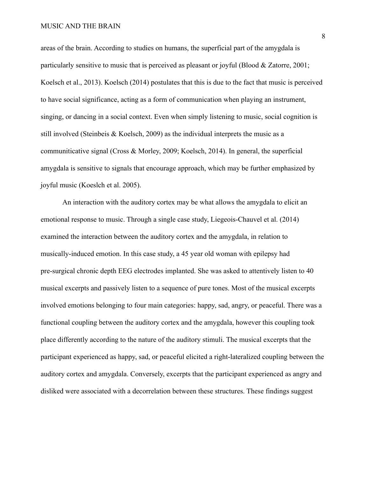areas of the brain. According to studies on humans, the superficial part of the amygdala is particularly sensitive to music that is perceived as pleasant or joyful (Blood & Zatorre, 2001; Koelsch et al., 2013). Koelsch (2014) postulates that this is due to the fact that music is perceived to have social significance, acting as a form of communication when playing an instrument, singing, or dancing in a social context. Even when simply listening to music, social cognition is still involved (Steinbeis  $& K$ oelsch, 2009) as the individual interprets the music as a communiticative signal (Cross & Morley, 2009; Koelsch, 2014). In general, the superficial amygdala is sensitive to signals that encourage approach, which may be further emphasized by joyful music (Koeslch et al. 2005).

An interaction with the auditory cortex may be what allows the amygdala to elicit an emotional response to music. Through a single case study, Liegeois-Chauvel et al. (2014) examined the interaction between the auditory cortex and the amygdala, in relation to musically-induced emotion. In this case study, a 45 year old woman with epilepsy had pre-surgical chronic depth EEG electrodes implanted. She was asked to attentively listen to 40 musical excerpts and passively listen to a sequence of pure tones. Most of the musical excerpts involved emotions belonging to four main categories: happy, sad, angry, or peaceful. There was a functional coupling between the auditory cortex and the amygdala, however this coupling took place differently according to the nature of the auditory stimuli. The musical excerpts that the participant experienced as happy, sad, or peaceful elicited a right-lateralized coupling between the auditory cortex and amygdala. Conversely, excerpts that the participant experienced as angry and disliked were associated with a decorrelation between these structures. These findings suggest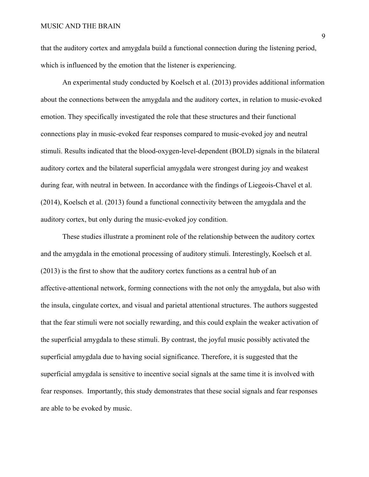that the auditory cortex and amygdala build a functional connection during the listening period, which is influenced by the emotion that the listener is experiencing.

An experimental study conducted by Koelsch et al. (2013) provides additional information about the connections between the amygdala and the auditory cortex, in relation to music-evoked emotion. They specifically investigated the role that these structures and their functional connections play in music-evoked fear responses compared to music-evoked joy and neutral stimuli. Results indicated that the blood-oxygen-level-dependent (BOLD) signals in the bilateral auditory cortex and the bilateral superficial amygdala were strongest during joy and weakest during fear, with neutral in between. In accordance with the findings of Liegeois-Chavel et al. (2014), Koelsch et al. (2013) found a functional connectivity between the amygdala and the auditory cortex, but only during the music-evoked joy condition.

These studies illustrate a prominent role of the relationship between the auditory cortex and the amygdala in the emotional processing of auditory stimuli. Interestingly, Koelsch et al. (2013) is the first to show that the auditory cortex functions as a central hub of an affective-attentional network, forming connections with the not only the amygdala, but also with the insula, cingulate cortex, and visual and parietal attentional structures. The authors suggested that the fear stimuli were not socially rewarding, and this could explain the weaker activation of the superficial amygdala to these stimuli. By contrast, the joyful music possibly activated the superficial amygdala due to having social significance. Therefore, it is suggested that the superficial amygdala is sensitive to incentive social signals at the same time it is involved with fear responses. Importantly, this study demonstrates that these social signals and fear responses are able to be evoked by music.

9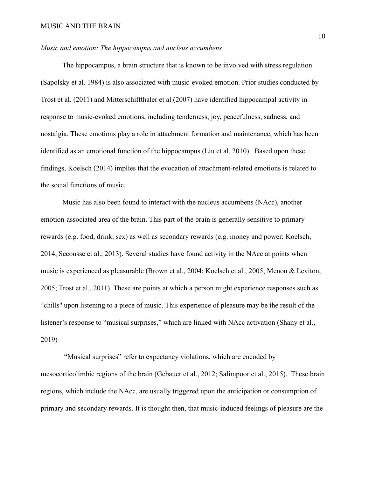## *Music and emotion: The hippocampus and nucleus accumbens*

The hippocampus, a brain structure that is known to be involved with stress regulation (Sapolsky et al. 1984) is also associated with music-evoked emotion. Prior studies conducted by Trost et al. (2011) and Mitterschiffthaler et al (2007) have identified hippocampal activity in response to music-evoked emotions, including tenderness, joy, peacefulness, sadness, and nostalgia. These emotions play a role in attachment formation and maintenance, which has been identified as an emotional function of the hippocampus (Liu et al. 2010). Based upon these findings, Koelsch (2014) implies that the evocation of attachment-related emotions is related to the social functions of music.

Music has also been found to interact with the nucleus accumbens (NAcc), another emotion-associated area of the brain. This part of the brain is generally sensitive to primary rewards (e.g. food, drink, sex) as well as secondary rewards (e.g. money and power; Koelsch, 2014, Secousse et al., 2013). Several studies have found activity in the NAcc at points when music is experienced as pleasurable (Brown et al., 2004; Koelsch et al., 2005; Menon & Leviton, 2005; Trost et al., 2011). These are points at which a person might experience responses such as "chills'' upon listening to a piece of music. This experience of pleasure may be the result of the listener's response to "musical surprises," which are linked with NAcc activation (Shany et al., 2019)

"Musical surprises" refer to expectancy violations, which are encoded by mesocorticolimbic regions of the brain (Gebauer et al., 2012; Salimpoor et al., 2015). These brain regions, which include the NAcc, are usually triggered upon the anticipation or consumption of primary and secondary rewards. It is thought then, that music-induced feelings of pleasure are the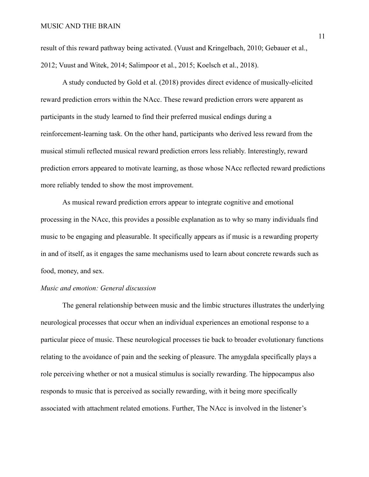result of this reward pathway being activated. (Vuust and Kringelbach, 2010; Gebauer et al., 2012; Vuust and Witek, 2014; Salimpoor et al., 2015; Koelsch et al., 2018).

A study conducted by Gold et al. (2018) provides direct evidence of musically-elicited reward prediction errors within the NAcc. These reward prediction errors were apparent as participants in the study learned to find their preferred musical endings during a reinforcement-learning task. On the other hand, participants who derived less reward from the musical stimuli reflected musical reward prediction errors less reliably. Interestingly, reward prediction errors appeared to motivate learning, as those whose NAcc reflected reward predictions more reliably tended to show the most improvement.

As musical reward prediction errors appear to integrate cognitive and emotional processing in the NAcc, this provides a possible explanation as to why so many individuals find music to be engaging and pleasurable. It specifically appears as if music is a rewarding property in and of itself, as it engages the same mechanisms used to learn about concrete rewards such as food, money, and sex.

## *Music and emotion: General discussion*

The general relationship between music and the limbic structures illustrates the underlying neurological processes that occur when an individual experiences an emotional response to a particular piece of music. These neurological processes tie back to broader evolutionary functions relating to the avoidance of pain and the seeking of pleasure. The amygdala specifically plays a role perceiving whether or not a musical stimulus is socially rewarding. The hippocampus also responds to music that is perceived as socially rewarding, with it being more specifically associated with attachment related emotions. Further, The NAcc is involved in the listener's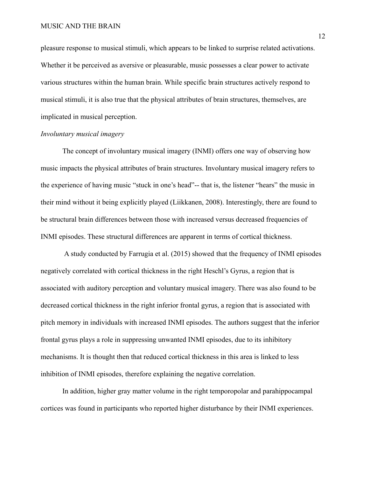pleasure response to musical stimuli, which appears to be linked to surprise related activations. Whether it be perceived as aversive or pleasurable, music possesses a clear power to activate various structures within the human brain. While specific brain structures actively respond to musical stimuli, it is also true that the physical attributes of brain structures, themselves, are implicated in musical perception.

## *Involuntary musical imagery*

The concept of involuntary musical imagery (INMI) offers one way of observing how music impacts the physical attributes of brain structures. Involuntary musical imagery refers to the experience of having music "stuck in one's head"-- that is, the listener "hears" the music in their mind without it being explicitly played (Liikkanen, 2008). Interestingly, there are found to be structural brain differences between those with increased versus decreased frequencies of INMI episodes. These structural differences are apparent in terms of cortical thickness.

A study conducted by Farrugia et al. (2015) showed that the frequency of INMI episodes negatively correlated with cortical thickness in the right Heschl's Gyrus, a region that is associated with auditory perception and voluntary musical imagery. There was also found to be decreased cortical thickness in the right inferior frontal gyrus, a region that is associated with pitch memory in individuals with increased INMI episodes. The authors suggest that the inferior frontal gyrus plays a role in suppressing unwanted INMI episodes, due to its inhibitory mechanisms. It is thought then that reduced cortical thickness in this area is linked to less inhibition of INMI episodes, therefore explaining the negative correlation.

In addition, higher gray matter volume in the right temporopolar and parahippocampal cortices was found in participants who reported higher disturbance by their INMI experiences.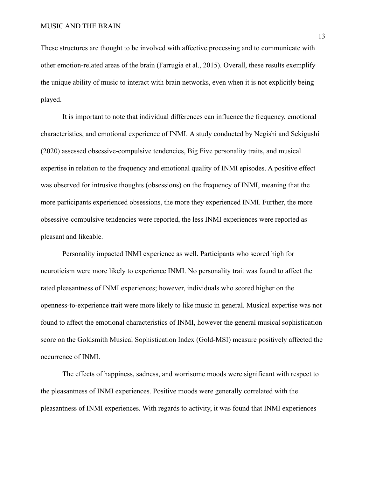These structures are thought to be involved with affective processing and to communicate with other emotion-related areas of the brain (Farrugia et al., 2015). Overall, these results exemplify the unique ability of music to interact with brain networks, even when it is not explicitly being played.

It is important to note that individual differences can influence the frequency, emotional characteristics, and emotional experience of INMI. A study conducted by Negishi and Sekigushi (2020) assessed obsessive-compulsive tendencies, Big Five personality traits, and musical expertise in relation to the frequency and emotional quality of INMI episodes. A positive effect was observed for intrusive thoughts (obsessions) on the frequency of INMI, meaning that the more participants experienced obsessions, the more they experienced INMI. Further, the more obsessive-compulsive tendencies were reported, the less INMI experiences were reported as pleasant and likeable.

Personality impacted INMI experience as well. Participants who scored high for neuroticism were more likely to experience INMI. No personality trait was found to affect the rated pleasantness of INMI experiences; however, individuals who scored higher on the openness-to-experience trait were more likely to like music in general. Musical expertise was not found to affect the emotional characteristics of INMI, however the general musical sophistication score on the Goldsmith Musical Sophistication Index (Gold-MSI) measure positively affected the occurrence of INMI.

The effects of happiness, sadness, and worrisome moods were significant with respect to the pleasantness of INMI experiences. Positive moods were generally correlated with the pleasantness of INMI experiences. With regards to activity, it was found that INMI experiences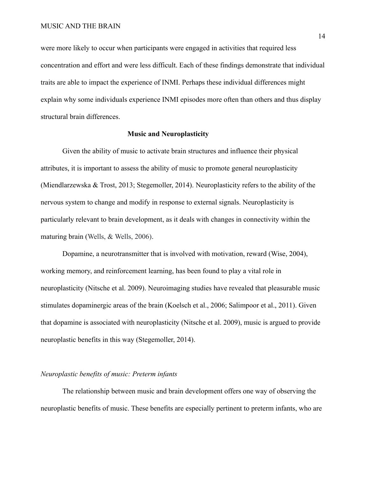were more likely to occur when participants were engaged in activities that required less concentration and effort and were less difficult. Each of these findings demonstrate that individual traits are able to impact the experience of INMI. Perhaps these individual differences might explain why some individuals experience INMI episodes more often than others and thus display structural brain differences.

### **Music and Neuroplasticity**

Given the ability of music to activate brain structures and influence their physical attributes, it is important to assess the ability of music to promote general neuroplasticity (Miendlarzewska & Trost, 2013; Stegemoller, 2014). Neuroplasticity refers to the ability of the nervous system to change and modify in response to external signals. Neuroplasticity is particularly relevant to brain development, as it deals with changes in connectivity within the maturing brain (Wells, & Wells, 2006).

Dopamine, a neurotransmitter that is involved with motivation, reward (Wise, 2004), working memory, and reinforcement learning, has been found to play a vital role in neuroplasticity (Nitsche et al. 2009). Neuroimaging studies have revealed that pleasurable music stimulates dopaminergic areas of the brain (Koelsch et al., 2006; Salimpoor et al., 2011). Given that dopamine is associated with neuroplasticity (Nitsche et al. 2009), music is argued to provide neuroplastic benefits in this way (Stegemoller, 2014).

#### *Neuroplastic benefits of music: Preterm infants*

The relationship between music and brain development offers one way of observing the neuroplastic benefits of music. These benefits are especially pertinent to preterm infants, who are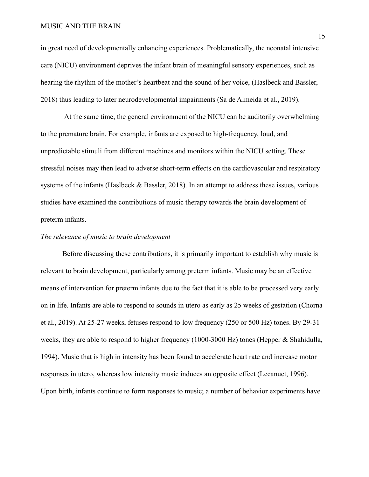### MUSIC AND THE BRAIN

in great need of developmentally enhancing experiences. Problematically, the neonatal intensive care (NICU) environment deprives the infant brain of meaningful sensory experiences, such as hearing the rhythm of the mother's heartbeat and the sound of her voice, (Haslbeck and Bassler, 2018) thus leading to later neurodevelopmental impairments (Sa de Almeida et al., 2019).

At the same time, the general environment of the NICU can be auditorily overwhelming to the premature brain. For example, infants are exposed to high-frequency, loud, and unpredictable stimuli from different machines and monitors within the NICU setting. These stressful noises may then lead to adverse short-term effects on the cardiovascular and respiratory systems of the infants (Haslbeck & Bassler, 2018). In an attempt to address these issues, various studies have examined the contributions of music therapy towards the brain development of preterm infants.

## *The relevance of music to brain development*

Before discussing these contributions, it is primarily important to establish why music is relevant to brain development, particularly among preterm infants. Music may be an effective means of intervention for preterm infants due to the fact that it is able to be processed very early on in life. Infants are able to respond to sounds in utero as early as 25 weeks of gestation (Chorna et al., 2019). At 25-27 weeks, fetuses respond to low frequency (250 or 500 Hz) tones. By 29-31 weeks, they are able to respond to higher frequency (1000-3000 Hz) tones (Hepper & Shahidulla, 1994). Music that is high in intensity has been found to accelerate heart rate and increase motor responses in utero, whereas low intensity music induces an opposite effect (Lecanuet, 1996). Upon birth, infants continue to form responses to music; a number of behavior experiments have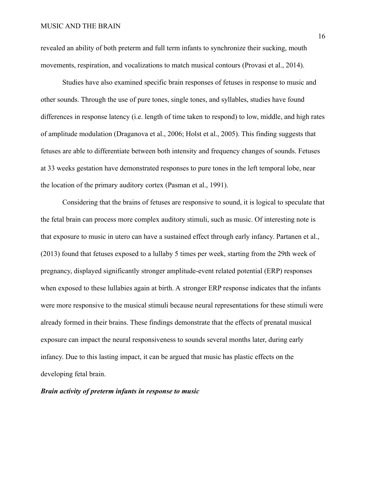revealed an ability of both preterm and full term infants to synchronize their sucking, mouth movements, respiration, and vocalizations to match musical contours (Provasi et al., 2014).

Studies have also examined specific brain responses of fetuses in response to music and other sounds. Through the use of pure tones, single tones, and syllables, studies have found differences in response latency (i.e. length of time taken to respond) to low, middle, and high rates of amplitude modulation (Draganova et al., 2006; Holst et al., 2005). This finding suggests that fetuses are able to differentiate between both intensity and frequency changes of sounds. Fetuses at 33 weeks gestation have demonstrated responses to pure tones in the left temporal lobe, near the location of the primary auditory cortex (Pasman et al., 1991).

Considering that the brains of fetuses are responsive to sound, it is logical to speculate that the fetal brain can process more complex auditory stimuli, such as music. Of interesting note is that exposure to music in utero can have a sustained effect through early infancy. Partanen et al., (2013) found that fetuses exposed to a lullaby 5 times per week, starting from the 29th week of pregnancy, displayed significantly stronger amplitude-event related potential (ERP) responses when exposed to these lullabies again at birth. A stronger ERP response indicates that the infants were more responsive to the musical stimuli because neural representations for these stimuli were already formed in their brains. These findings demonstrate that the effects of prenatal musical exposure can impact the neural responsiveness to sounds several months later, during early infancy. Due to this lasting impact, it can be argued that music has plastic effects on the developing fetal brain.

*Brain activity of preterm infants in response to music*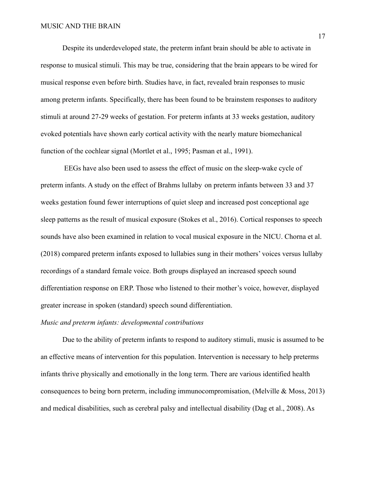Despite its underdeveloped state, the preterm infant brain should be able to activate in response to musical stimuli. This may be true, considering that the brain appears to be wired for musical response even before birth. Studies have, in fact, revealed brain responses to music among preterm infants. Specifically, there has been found to be brainstem responses to auditory stimuli at around 27-29 weeks of gestation. For preterm infants at 33 weeks gestation, auditory evoked potentials have shown early cortical activity with the nearly mature biomechanical function of the cochlear signal (Mortlet et al., 1995; Pasman et al., 1991).

EEGs have also been used to assess the effect of music on the sleep-wake cycle of preterm infants. A study on the effect of Brahms lullaby on preterm infants between 33 and 37 weeks gestation found fewer interruptions of quiet sleep and increased post conceptional age sleep patterns as the result of musical exposure (Stokes et al., 2016). Cortical responses to speech sounds have also been examined in relation to vocal musical exposure in the NICU. Chorna et al. (2018) compared preterm infants exposed to lullabies sung in their mothers' voices versus lullaby recordings of a standard female voice. Both groups displayed an increased speech sound differentiation response on ERP. Those who listened to their mother's voice, however, displayed greater increase in spoken (standard) speech sound differentiation.

## *Music and preterm infants: developmental contributions*

Due to the ability of preterm infants to respond to auditory stimuli, music is assumed to be an effective means of intervention for this population. Intervention is necessary to help preterms infants thrive physically and emotionally in the long term. There are various identified health consequences to being born preterm, including immunocompromisation, (Melville & Moss, 2013) and medical disabilities, such as cerebral palsy and intellectual disability (Dag et al., 2008). As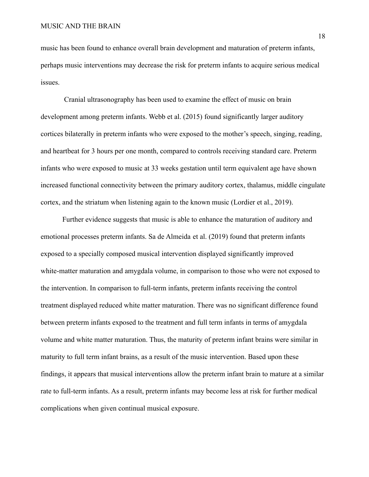music has been found to enhance overall brain development and maturation of preterm infants, perhaps music interventions may decrease the risk for preterm infants to acquire serious medical issues.

Cranial ultrasonography has been used to examine the effect of music on brain development among preterm infants. Webb et al. (2015) found significantly larger auditory cortices bilaterally in preterm infants who were exposed to the mother's speech, singing, reading, and heartbeat for 3 hours per one month, compared to controls receiving standard care. Preterm infants who were exposed to music at 33 weeks gestation until term equivalent age have shown increased functional connectivity between the primary auditory cortex, thalamus, middle cingulate cortex, and the striatum when listening again to the known music (Lordier et al., 2019).

Further evidence suggests that music is able to enhance the maturation of auditory and emotional processes preterm infants. Sa de Almeida et al. (2019) found that preterm infants exposed to a specially composed musical intervention displayed significantly improved white-matter maturation and amygdala volume, in comparison to those who were not exposed to the intervention. In comparison to full-term infants, preterm infants receiving the control treatment displayed reduced white matter maturation. There was no significant difference found between preterm infants exposed to the treatment and full term infants in terms of amygdala volume and white matter maturation. Thus, the maturity of preterm infant brains were similar in maturity to full term infant brains, as a result of the music intervention. Based upon these findings, it appears that musical interventions allow the preterm infant brain to mature at a similar rate to full-term infants. As a result, preterm infants may become less at risk for further medical complications when given continual musical exposure.

18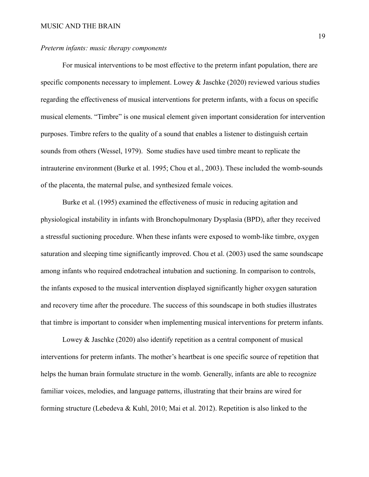### *Preterm infants: music therapy components*

For musical interventions to be most effective to the preterm infant population, there are specific components necessary to implement. Lowey & Jaschke (2020) reviewed various studies regarding the effectiveness of musical interventions for preterm infants, with a focus on specific musical elements. "Timbre" is one musical element given important consideration for intervention purposes. Timbre refers to the quality of a sound that enables a listener to distinguish certain sounds from others (Wessel, 1979). Some studies have used timbre meant to replicate the intrauterine environment (Burke et al. 1995; Chou et al., 2003). These included the womb-sounds of the placenta, the maternal pulse, and synthesized female voices.

Burke et al. (1995) examined the effectiveness of music in reducing agitation and physiological instability in infants with Bronchopulmonary Dysplasia (BPD), after they received a stressful suctioning procedure. When these infants were exposed to womb-like timbre, oxygen saturation and sleeping time significantly improved. Chou et al. (2003) used the same soundscape among infants who required endotracheal intubation and suctioning. In comparison to controls, the infants exposed to the musical intervention displayed significantly higher oxygen saturation and recovery time after the procedure. The success of this soundscape in both studies illustrates that timbre is important to consider when implementing musical interventions for preterm infants.

Lowey & Jaschke (2020) also identify repetition as a central component of musical interventions for preterm infants. The mother's heartbeat is one specific source of repetition that helps the human brain formulate structure in the womb. Generally, infants are able to recognize familiar voices, melodies, and language patterns, illustrating that their brains are wired for forming structure (Lebedeva & Kuhl, 2010; Mai et al. 2012). Repetition is also linked to the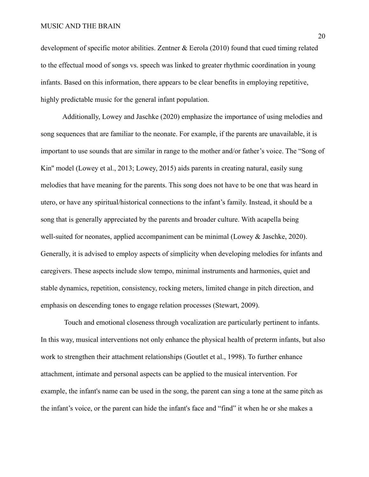#### MUSIC AND THE BRAIN

development of specific motor abilities. Zentner & Eerola (2010) found that cued timing related to the effectual mood of songs vs. speech was linked to greater rhythmic coordination in young infants. Based on this information, there appears to be clear benefits in employing repetitive, highly predictable music for the general infant population.

Additionally, Lowey and Jaschke (2020) emphasize the importance of using melodies and song sequences that are familiar to the neonate. For example, if the parents are unavailable, it is important to use sounds that are similar in range to the mother and/or father's voice. The "Song of Kin'' model (Lowey et al., 2013; Lowey, 2015) aids parents in creating natural, easily sung melodies that have meaning for the parents. This song does not have to be one that was heard in utero, or have any spiritual/historical connections to the infant's family. Instead, it should be a song that is generally appreciated by the parents and broader culture. With acapella being well-suited for neonates, applied accompaniment can be minimal (Lowey & Jaschke, 2020). Generally, it is advised to employ aspects of simplicity when developing melodies for infants and caregivers. These aspects include slow tempo, minimal instruments and harmonies, quiet and stable dynamics, repetition, consistency, rocking meters, limited change in pitch direction, and emphasis on descending tones to engage relation processes (Stewart, 2009).

Touch and emotional closeness through vocalization are particularly pertinent to infants. In this way, musical interventions not only enhance the physical health of preterm infants, but also work to strengthen their attachment relationships (Goutlet et al., 1998). To further enhance attachment, intimate and personal aspects can be applied to the musical intervention. For example, the infant's name can be used in the song, the parent can sing a tone at the same pitch as the infant's voice, or the parent can hide the infant's face and "find" it when he or she makes a

20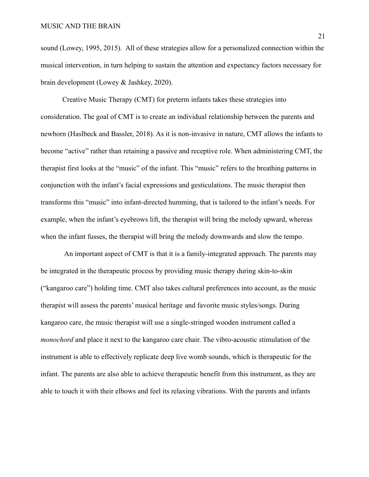sound (Lowey, 1995, 2015). All of these strategies allow for a personalized connection within the musical intervention, in turn helping to sustain the attention and expectancy factors necessary for brain development (Lowey & Jashkey, 2020).

Creative Music Therapy (CMT) for preterm infants takes these strategies into consideration. The goal of CMT is to create an individual relationship between the parents and newborn (Haslbeck and Bassler, 2018). As it is non-invasive in nature, CMT allows the infants to become "active" rather than retaining a passive and receptive role. When administering CMT, the therapist first looks at the "music" of the infant. This "music" refers to the breathing patterns in conjunction with the infant's facial expressions and gesticulations. The music therapist then transforms this "music" into infant-directed humming, that is tailored to the infant's needs. For example, when the infant's eyebrows lift, the therapist will bring the melody upward, whereas when the infant fusses, the therapist will bring the melody downwards and slow the tempo.

An important aspect of CMT is that it is a family-integrated approach. The parents may be integrated in the therapeutic process by providing music therapy during skin-to-skin ("kangaroo care") holding time. CMT also takes cultural preferences into account, as the music therapist will assess the parents' musical heritage and favorite music styles/songs. During kangaroo care, the music therapist will use a single-stringed wooden instrument called a *monochord* and place it next to the kangaroo care chair. The vibro-acoustic stimulation of the instrument is able to effectively replicate deep live womb sounds, which is therapeutic for the infant. The parents are also able to achieve therapeutic benefit from this instrument, as they are able to touch it with their elbows and feel its relaxing vibrations. With the parents and infants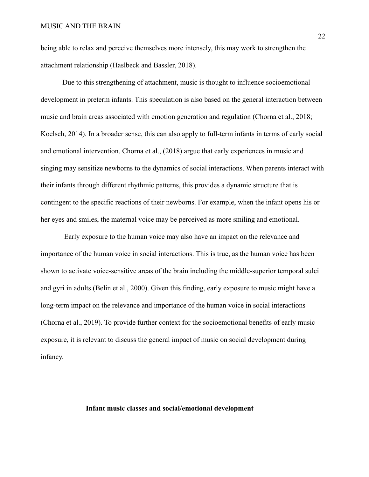being able to relax and perceive themselves more intensely, this may work to strengthen the attachment relationship (Haslbeck and Bassler, 2018).

Due to this strengthening of attachment, music is thought to influence socioemotional development in preterm infants. This speculation is also based on the general interaction between music and brain areas associated with emotion generation and regulation (Chorna et al., 2018; Koelsch, 2014). In a broader sense, this can also apply to full-term infants in terms of early social and emotional intervention. Chorna et al., (2018) argue that early experiences in music and singing may sensitize newborns to the dynamics of social interactions. When parents interact with their infants through different rhythmic patterns, this provides a dynamic structure that is contingent to the specific reactions of their newborns. For example, when the infant opens his or her eyes and smiles, the maternal voice may be perceived as more smiling and emotional.

Early exposure to the human voice may also have an impact on the relevance and importance of the human voice in social interactions. This is true, as the human voice has been shown to activate voice-sensitive areas of the brain including the middle-superior temporal sulci and gyri in adults (Belin et al., 2000). Given this finding, early exposure to music might have a long-term impact on the relevance and importance of the human voice in social interactions (Chorna et al., 2019). To provide further context for the socioemotional benefits of early music exposure, it is relevant to discuss the general impact of music on social development during infancy.

## **Infant music classes and social/emotional development**

22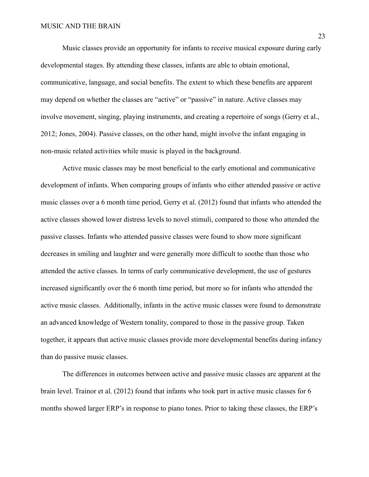Music classes provide an opportunity for infants to receive musical exposure during early developmental stages. By attending these classes, infants are able to obtain emotional, communicative, language, and social benefits. The extent to which these benefits are apparent may depend on whether the classes are "active" or "passive" in nature. Active classes may involve movement, singing, playing instruments, and creating a repertoire of songs (Gerry et al., 2012; Jones, 2004). Passive classes, on the other hand, might involve the infant engaging in non-music related activities while music is played in the background.

Active music classes may be most beneficial to the early emotional and communicative development of infants. When comparing groups of infants who either attended passive or active music classes over a 6 month time period, Gerry et al. (2012) found that infants who attended the active classes showed lower distress levels to novel stimuli, compared to those who attended the passive classes. Infants who attended passive classes were found to show more significant decreases in smiling and laughter and were generally more difficult to soothe than those who attended the active classes. In terms of early communicative development, the use of gestures increased significantly over the 6 month time period, but more so for infants who attended the active music classes. Additionally, infants in the active music classes were found to demonstrate an advanced knowledge of Western tonality, compared to those in the passive group. Taken together, it appears that active music classes provide more developmental benefits during infancy than do passive music classes.

The differences in outcomes between active and passive music classes are apparent at the brain level. Trainor et al. (2012) found that infants who took part in active music classes for 6 months showed larger ERP's in response to piano tones. Prior to taking these classes, the ERP's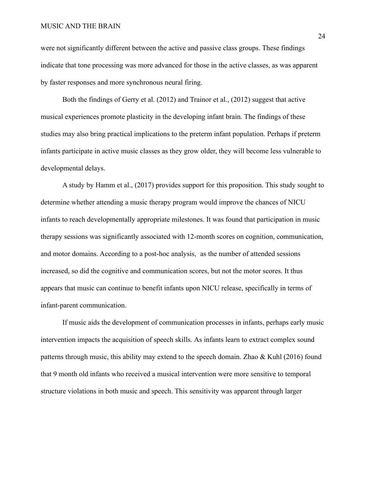#### MUSIC AND THE BRAIN

were not significantly different between the active and passive class groups. These findings indicate that tone processing was more advanced for those in the active classes, as was apparent by faster responses and more synchronous neural firing.

Both the findings of Gerry et al. (2012) and Trainor et al., (2012) suggest that active musical experiences promote plasticity in the developing infant brain. The findings of these studies may also bring practical implications to the preterm infant population. Perhaps if preterm infants participate in active music classes as they grow older, they will become less vulnerable to developmental delays.

A study by Hamm et al., (2017) provides support for this proposition. This study sought to determine whether attending a music therapy program would improve the chances of NICU infants to reach developmentally appropriate milestones. It was found that participation in music therapy sessions was significantly associated with 12-month scores on cognition, communication, and motor domains. According to a post-hoc analysis, as the number of attended sessions increased, so did the cognitive and communication scores, but not the motor scores. It thus appears that music can continue to benefit infants upon NICU release, specifically in terms of infant-parent communication.

If music aids the development of communication processes in infants, perhaps early music intervention impacts the acquisition of speech skills. As infants learn to extract complex sound patterns through music, this ability may extend to the speech domain. Zhao & Kuhl (2016) found that 9 month old infants who received a musical intervention were more sensitive to temporal structure violations in both music and speech. This sensitivity was apparent through larger

24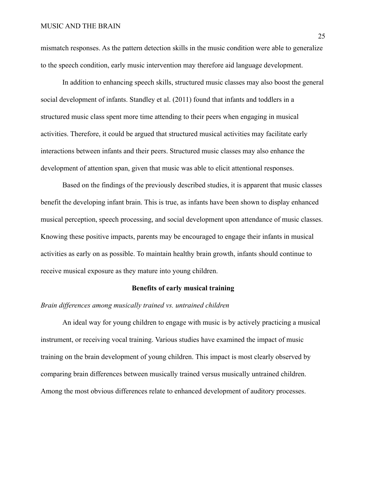mismatch responses. As the pattern detection skills in the music condition were able to generalize to the speech condition, early music intervention may therefore aid language development.

In addition to enhancing speech skills, structured music classes may also boost the general social development of infants. Standley et al. (2011) found that infants and toddlers in a structured music class spent more time attending to their peers when engaging in musical activities. Therefore, it could be argued that structured musical activities may facilitate early interactions between infants and their peers. Structured music classes may also enhance the development of attention span, given that music was able to elicit attentional responses.

Based on the findings of the previously described studies, it is apparent that music classes benefit the developing infant brain. This is true, as infants have been shown to display enhanced musical perception, speech processing, and social development upon attendance of music classes. Knowing these positive impacts, parents may be encouraged to engage their infants in musical activities as early on as possible. To maintain healthy brain growth, infants should continue to receive musical exposure as they mature into young children.

## **Benefits of early musical training**

## *Brain differences among musically trained vs. untrained children*

An ideal way for young children to engage with music is by actively practicing a musical instrument, or receiving vocal training. Various studies have examined the impact of music training on the brain development of young children. This impact is most clearly observed by comparing brain differences between musically trained versus musically untrained children. Among the most obvious differences relate to enhanced development of auditory processes.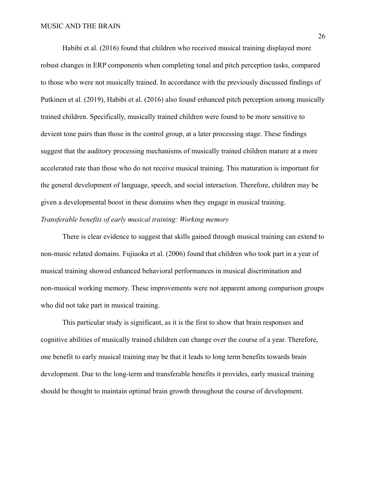Habibi et al. (2016) found that children who received musical training displayed more robust changes in ERP components when completing tonal and pitch perception tasks, compared to those who were not musically trained. In accordance with the previously discussed findings of Putkinen et al. (2019), Habibi et al. (2016) also found enhanced pitch perception among musically trained children. Specifically, musically trained children were found to be more sensitive to devient tone pairs than those in the control group, at a later processing stage. These findings suggest that the auditory processing mechanisms of musically trained children mature at a more accelerated rate than those who do not receive musical training. This maturation is important for the general development of language, speech, and social interaction. Therefore, children may be given a developmental boost in these domains when they engage in musical training. *Transferable benefits of early musical training: Working memory*

There is clear evidence to suggest that skills gained through musical training can extend to non-music related domains. Fujiuoka et al. (2006) found that children who took part in a year of musical training showed enhanced behavioral performances in musical discrimination and non-musical working memory. These improvements were not apparent among comparison groups who did not take part in musical training.

This particular study is significant, as it is the first to show that brain responses and cognitive abilities of musically trained children can change over the course of a year. Therefore, one benefit to early musical training may be that it leads to long term benefits towards brain development. Due to the long-term and transferable benefits it provides, early musical training should be thought to maintain optimal brain growth throughout the course of development.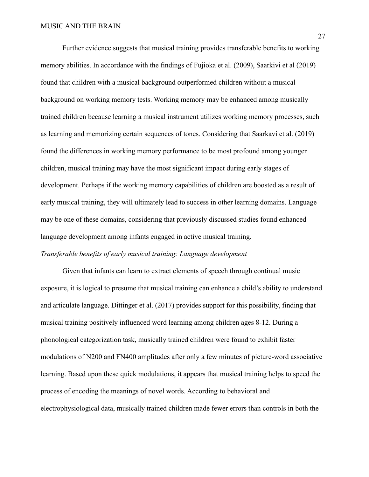Further evidence suggests that musical training provides transferable benefits to working memory abilities. In accordance with the findings of Fujioka et al. (2009), Saarkivi et al (2019) found that children with a musical background outperformed children without a musical background on working memory tests. Working memory may be enhanced among musically trained children because learning a musical instrument utilizes working memory processes, such as learning and memorizing certain sequences of tones. Considering that Saarkavi et al. (2019) found the differences in working memory performance to be most profound among younger children, musical training may have the most significant impact during early stages of development. Perhaps if the working memory capabilities of children are boosted as a result of early musical training, they will ultimately lead to success in other learning domains. Language may be one of these domains, considering that previously discussed studies found enhanced language development among infants engaged in active musical training. *Transferable benefits of early musical training: Language development*

Given that infants can learn to extract elements of speech through continual music exposure, it is logical to presume that musical training can enhance a child's ability to understand and articulate language. Dittinger et al. (2017) provides support for this possibility, finding that musical training positively influenced word learning among children ages 8-12. During a phonological categorization task, musically trained children were found to exhibit faster modulations of N200 and FN400 amplitudes after only a few minutes of picture-word associative learning. Based upon these quick modulations, it appears that musical training helps to speed the process of encoding the meanings of novel words. According to behavioral and electrophysiological data, musically trained children made fewer errors than controls in both the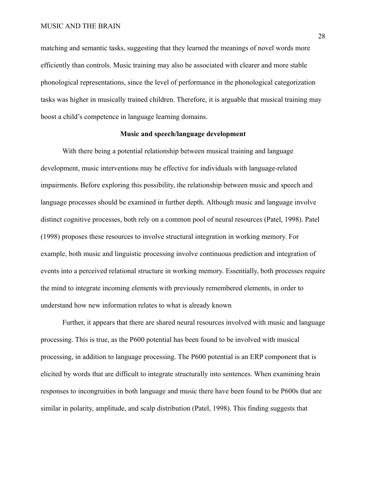matching and semantic tasks, suggesting that they learned the meanings of novel words more efficiently than controls. Music training may also be associated with clearer and more stable phonological representations, since the level of performance in the phonological categorization tasks was higher in musically trained children. Therefore, it is arguable that musical training may boost a child's competence in language learning domains.

## **Music and speech/language development**

With there being a potential relationship between musical training and language development, music interventions may be effective for individuals with language-related impairments. Before exploring this possibility, the relationship between music and speech and language processes should be examined in further depth. Although music and language involve distinct cognitive processes, both rely on a common pool of neural resources (Patel, 1998). Patel (1998) proposes these resources to involve structural integration in working memory. For example, both music and linguistic processing involve continuous prediction and integration of events into a perceived relational structure in working memory. Essentially, both processes require the mind to integrate incoming elements with previously remembered elements, in order to understand how new information relates to what is already known

Further, it appears that there are shared neural resources involved with music and language processing. This is true, as the P600 potential has been found to be involved with musical processing, in addition to language processing. The P600 potential is an ERP component that is elicited by words that are difficult to integrate structurally into sentences. When examining brain responses to incongruities in both language and music there have been found to be P600s that are similar in polarity, amplitude, and scalp distribution (Patel, 1998). This finding suggests that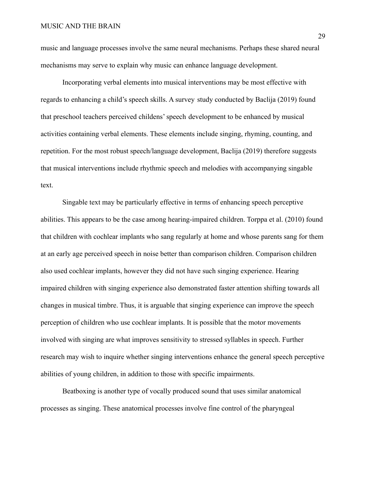music and language processes involve the same neural mechanisms. Perhaps these shared neural mechanisms may serve to explain why music can enhance language development.

Incorporating verbal elements into musical interventions may be most effective with regards to enhancing a child's speech skills. A survey study conducted by Baclija (2019) found that preschool teachers perceived childens' speech development to be enhanced by musical activities containing verbal elements. These elements include singing, rhyming, counting, and repetition. For the most robust speech/language development, Baclija (2019) therefore suggests that musical interventions include rhythmic speech and melodies with accompanying singable text.

Singable text may be particularly effective in terms of enhancing speech perceptive abilities. This appears to be the case among hearing-impaired children. Torppa et al. (2010) found that children with cochlear implants who sang regularly at home and whose parents sang for them at an early age perceived speech in noise better than comparison children. Comparison children also used cochlear implants, however they did not have such singing experience. Hearing impaired children with singing experience also demonstrated faster attention shifting towards all changes in musical timbre. Thus, it is arguable that singing experience can improve the speech perception of children who use cochlear implants. It is possible that the motor movements involved with singing are what improves sensitivity to stressed syllables in speech. Further research may wish to inquire whether singing interventions enhance the general speech perceptive abilities of young children, in addition to those with specific impairments.

Beatboxing is another type of vocally produced sound that uses similar anatomical processes as singing. These anatomical processes involve fine control of the pharyngeal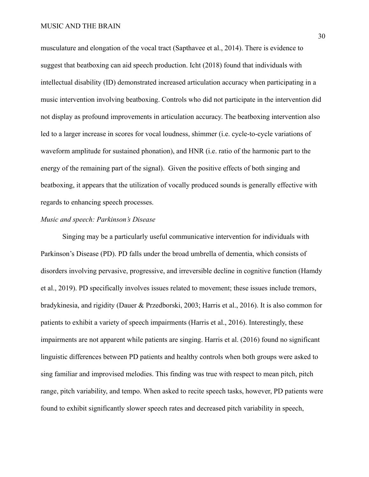musculature and elongation of the vocal tract (Sapthavee et al., 2014). There is evidence to suggest that beatboxing can aid speech production. Icht (2018) found that individuals with intellectual disability (ID) demonstrated increased articulation accuracy when participating in a music intervention involving beatboxing. Controls who did not participate in the intervention did not display as profound improvements in articulation accuracy. The beatboxing intervention also led to a larger increase in scores for vocal loudness, shimmer (i.e. cycle-to-cycle variations of waveform amplitude for sustained phonation), and HNR (i.e. ratio of the harmonic part to the energy of the remaining part of the signal). Given the positive effects of both singing and beatboxing, it appears that the utilization of vocally produced sounds is generally effective with regards to enhancing speech processes.

## *Music and speech: Parkinson's Disease*

Singing may be a particularly useful communicative intervention for individuals with Parkinson's Disease (PD). PD falls under the broad umbrella of dementia, which consists of disorders involving pervasive, progressive, and irreversible decline in cognitive function (Hamdy et al., 2019). PD specifically involves issues related to movement; these issues include tremors, bradykinesia, and rigidity (Dauer & Przedborski, 2003; Harris et al., 2016). It is also common for patients to exhibit a variety of speech impairments (Harris et al., 2016). Interestingly, these impairments are not apparent while patients are singing. Harris et al. (2016) found no significant linguistic differences between PD patients and healthy controls when both groups were asked to sing familiar and improvised melodies. This finding was true with respect to mean pitch, pitch range, pitch variability, and tempo. When asked to recite speech tasks, however, PD patients were found to exhibit significantly slower speech rates and decreased pitch variability in speech,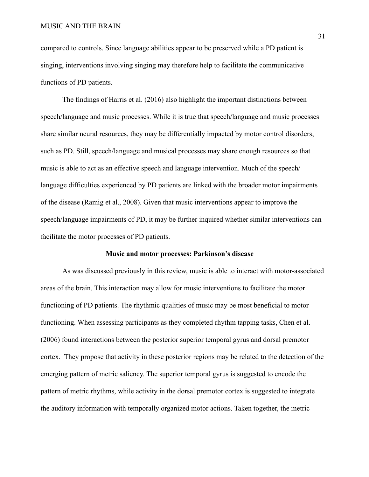compared to controls. Since language abilities appear to be preserved while a PD patient is singing, interventions involving singing may therefore help to facilitate the communicative functions of PD patients.

The findings of Harris et al. (2016) also highlight the important distinctions between speech/language and music processes. While it is true that speech/language and music processes share similar neural resources, they may be differentially impacted by motor control disorders, such as PD. Still, speech/language and musical processes may share enough resources so that music is able to act as an effective speech and language intervention. Much of the speech/ language difficulties experienced by PD patients are linked with the broader motor impairments of the disease (Ramig et al., 2008). Given that music interventions appear to improve the speech/language impairments of PD, it may be further inquired whether similar interventions can facilitate the motor processes of PD patients.

#### **Music and motor processes: Parkinson's disease**

As was discussed previously in this review, music is able to interact with motor-associated areas of the brain. This interaction may allow for music interventions to facilitate the motor functioning of PD patients. The rhythmic qualities of music may be most beneficial to motor functioning. When assessing participants as they completed rhythm tapping tasks, Chen et al. (2006) found interactions between the posterior superior temporal gyrus and dorsal premotor cortex. They propose that activity in these posterior regions may be related to the detection of the emerging pattern of metric saliency. The superior temporal gyrus is suggested to encode the pattern of metric rhythms, while activity in the dorsal premotor cortex is suggested to integrate the auditory information with temporally organized motor actions. Taken together, the metric

31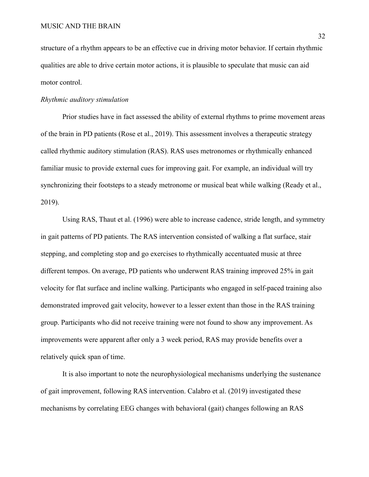structure of a rhythm appears to be an effective cue in driving motor behavior. If certain rhythmic qualities are able to drive certain motor actions, it is plausible to speculate that music can aid motor control.

## *Rhythmic auditory stimulation*

Prior studies have in fact assessed the ability of external rhythms to prime movement areas of the brain in PD patients (Rose et al., 2019). This assessment involves a therapeutic strategy called rhythmic auditory stimulation (RAS). RAS uses metronomes or rhythmically enhanced familiar music to provide external cues for improving gait. For example, an individual will try synchronizing their footsteps to a steady metronome or musical beat while walking (Ready et al., 2019).

Using RAS, Thaut et al. (1996) were able to increase cadence, stride length, and symmetry in gait patterns of PD patients. The RAS intervention consisted of walking a flat surface, stair stepping, and completing stop and go exercises to rhythmically accentuated music at three different tempos. On average, PD patients who underwent RAS training improved 25% in gait velocity for flat surface and incline walking. Participants who engaged in self-paced training also demonstrated improved gait velocity, however to a lesser extent than those in the RAS training group. Participants who did not receive training were not found to show any improvement. As improvements were apparent after only a 3 week period, RAS may provide benefits over a relatively quick span of time.

It is also important to note the neurophysiological mechanisms underlying the sustenance of gait improvement, following RAS intervention. Calabro et al. (2019) investigated these mechanisms by correlating EEG changes with behavioral (gait) changes following an RAS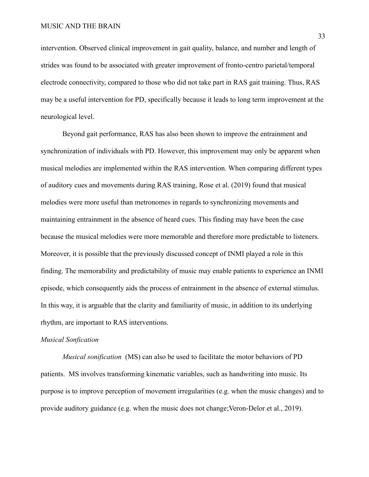intervention. Observed clinical improvement in gait quality, balance, and number and length of strides was found to be associated with greater improvement of fronto-centro parietal/temporal electrode connectivity, compared to those who did not take part in RAS gait training. Thus, RAS may be a useful intervention for PD, specifically because it leads to long term improvement at the neurological level.

Beyond gait performance, RAS has also been shown to improve the entrainment and synchronization of individuals with PD. However, this improvement may only be apparent when musical melodies are implemented within the RAS intervention. When comparing different types of auditory cues and movements during RAS training, Rose et al. (2019) found that musical melodies were more useful than metronomes in regards to synchronizing movements and maintaining entrainment in the absence of heard cues. This finding may have been the case because the musical melodies were more memorable and therefore more predictable to listeners. Moreover, it is possible that the previously discussed concept of INMI played a role in this finding. The memorability and predictability of music may enable patients to experience an INMI episode, which consequently aids the process of entrainment in the absence of external stimulus. In this way, it is arguable that the clarity and familiarity of music, in addition to its underlying rhythm, are important to RAS interventions.

## *Musical Sonfication*

*Musical sonification* (MS) can also be used to facilitate the motor behaviors of PD patients. MS involves transforming kinematic variables, such as handwriting into music. Its purpose is to improve perception of movement irregularities (e.g. when the music changes) and to provide auditory guidance (e.g. when the music does not change;Veron-Delor et al., 2019).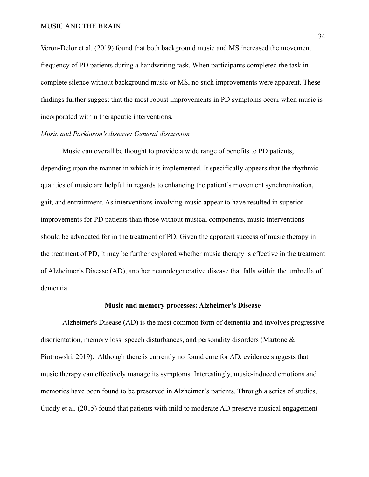Veron-Delor et al. (2019) found that both background music and MS increased the movement frequency of PD patients during a handwriting task. When participants completed the task in complete silence without background music or MS, no such improvements were apparent. These findings further suggest that the most robust improvements in PD symptoms occur when music is incorporated within therapeutic interventions.

## *Music and Parkinson's disease: General discussion*

Music can overall be thought to provide a wide range of benefits to PD patients, depending upon the manner in which it is implemented. It specifically appears that the rhythmic qualities of music are helpful in regards to enhancing the patient's movement synchronization, gait, and entrainment. As interventions involving music appear to have resulted in superior improvements for PD patients than those without musical components, music interventions should be advocated for in the treatment of PD. Given the apparent success of music therapy in the treatment of PD, it may be further explored whether music therapy is effective in the treatment of Alzheimer's Disease (AD), another neurodegenerative disease that falls within the umbrella of dementia.

## **Music and memory processes: Alzheimer's Disease**

Alzheimer's Disease (AD) is the most common form of dementia and involves progressive disorientation, memory loss, speech disturbances, and personality disorders (Martone  $\&$ Piotrowski, 2019). Although there is currently no found cure for AD, evidence suggests that music therapy can effectively manage its symptoms. Interestingly, music-induced emotions and memories have been found to be preserved in Alzheimer's patients. Through a series of studies, Cuddy et al. (2015) found that patients with mild to moderate AD preserve musical engagement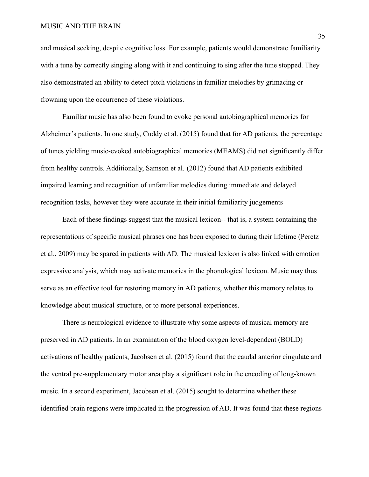and musical seeking, despite cognitive loss. For example, patients would demonstrate familiarity with a tune by correctly singing along with it and continuing to sing after the tune stopped. They also demonstrated an ability to detect pitch violations in familiar melodies by grimacing or frowning upon the occurrence of these violations.

Familiar music has also been found to evoke personal autobiographical memories for Alzheimer's patients. In one study, Cuddy et al. (2015) found that for AD patients, the percentage of tunes yielding music-evoked autobiographical memories (MEAMS) did not significantly differ from healthy controls. Additionally, Samson et al. (2012) found that AD patients exhibited impaired learning and recognition of unfamiliar melodies during immediate and delayed recognition tasks, however they were accurate in their initial familiarity judgements

Each of these findings suggest that the musical lexicon-- that is, a system containing the representations of specific musical phrases one has been exposed to during their lifetime (Peretz et al., 2009) may be spared in patients with AD. The musical lexicon is also linked with emotion expressive analysis, which may activate memories in the phonological lexicon. Music may thus serve as an effective tool for restoring memory in AD patients, whether this memory relates to knowledge about musical structure, or to more personal experiences.

There is neurological evidence to illustrate why some aspects of musical memory are preserved in AD patients. In an examination of the blood oxygen level-dependent (BOLD) activations of healthy patients, Jacobsen et al. (2015) found that the caudal anterior cingulate and the ventral pre-supplementary motor area play a significant role in the encoding of long-known music. In a second experiment, Jacobsen et al. (2015) sought to determine whether these identified brain regions were implicated in the progression of AD. It was found that these regions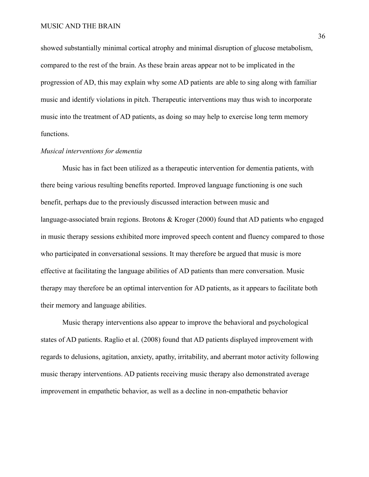showed substantially minimal cortical atrophy and minimal disruption of glucose metabolism, compared to the rest of the brain. As these brain areas appear not to be implicated in the progression of AD, this may explain why some AD patients are able to sing along with familiar music and identify violations in pitch. Therapeutic interventions may thus wish to incorporate music into the treatment of AD patients, as doing so may help to exercise long term memory functions.

#### *Musical interventions for dementia*

Music has in fact been utilized as a therapeutic intervention for dementia patients, with there being various resulting benefits reported. Improved language functioning is one such benefit, perhaps due to the previously discussed interaction between music and language-associated brain regions. Brotons  $\&$  Kroger (2000) found that AD patients who engaged in music therapy sessions exhibited more improved speech content and fluency compared to those who participated in conversational sessions. It may therefore be argued that music is more effective at facilitating the language abilities of AD patients than mere conversation. Music therapy may therefore be an optimal intervention for AD patients, as it appears to facilitate both their memory and language abilities.

Music therapy interventions also appear to improve the behavioral and psychological states of AD patients. Raglio et al. (2008) found that AD patients displayed improvement with regards to delusions, agitation, anxiety, apathy, irritability, and aberrant motor activity following music therapy interventions. AD patients receiving music therapy also demonstrated average improvement in empathetic behavior, as well as a decline in non-empathetic behavior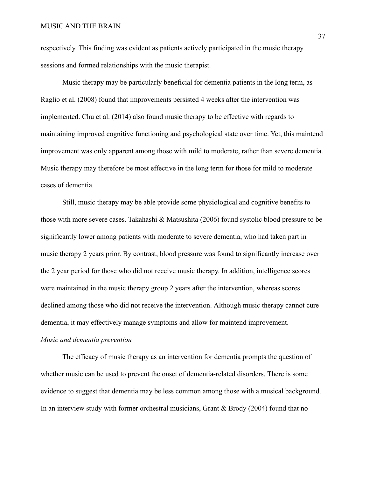respectively. This finding was evident as patients actively participated in the music therapy sessions and formed relationships with the music therapist.

Music therapy may be particularly beneficial for dementia patients in the long term, as Raglio et al. (2008) found that improvements persisted 4 weeks after the intervention was implemented. Chu et al. (2014) also found music therapy to be effective with regards to maintaining improved cognitive functioning and psychological state over time. Yet, this maintend improvement was only apparent among those with mild to moderate, rather than severe dementia. Music therapy may therefore be most effective in the long term for those for mild to moderate cases of dementia.

Still, music therapy may be able provide some physiological and cognitive benefits to those with more severe cases. Takahashi & Matsushita (2006) found systolic blood pressure to be significantly lower among patients with moderate to severe dementia, who had taken part in music therapy 2 years prior. By contrast, blood pressure was found to significantly increase over the 2 year period for those who did not receive music therapy. In addition, intelligence scores were maintained in the music therapy group 2 years after the intervention, whereas scores declined among those who did not receive the intervention. Although music therapy cannot cure dementia, it may effectively manage symptoms and allow for maintend improvement. *Music and dementia prevention*

The efficacy of music therapy as an intervention for dementia prompts the question of whether music can be used to prevent the onset of dementia-related disorders. There is some evidence to suggest that dementia may be less common among those with a musical background. In an interview study with former orchestral musicians, Grant  $& Brody (2004)$  found that no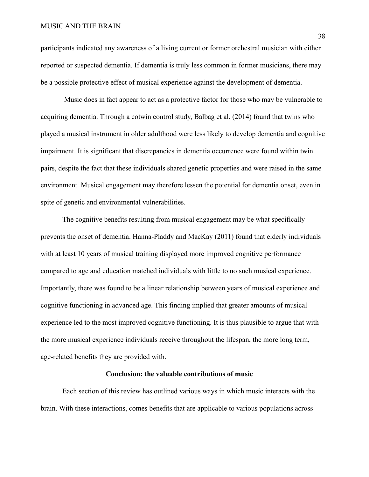#### MUSIC AND THE BRAIN

participants indicated any awareness of a living current or former orchestral musician with either reported or suspected dementia. If dementia is truly less common in former musicians, there may be a possible protective effect of musical experience against the development of dementia.

Music does in fact appear to act as a protective factor for those who may be vulnerable to acquiring dementia. Through a cotwin control study, Balbag et al. (2014) found that twins who played a musical instrument in older adulthood were less likely to develop dementia and cognitive impairment. It is significant that discrepancies in dementia occurrence were found within twin pairs, despite the fact that these individuals shared genetic properties and were raised in the same environment. Musical engagement may therefore lessen the potential for dementia onset, even in spite of genetic and environmental vulnerabilities.

The cognitive benefits resulting from musical engagement may be what specifically prevents the onset of dementia. Hanna-Pladdy and MacKay (2011) found that elderly individuals with at least 10 years of musical training displayed more improved cognitive performance compared to age and education matched individuals with little to no such musical experience. Importantly, there was found to be a linear relationship between years of musical experience and cognitive functioning in advanced age. This finding implied that greater amounts of musical experience led to the most improved cognitive functioning. It is thus plausible to argue that with the more musical experience individuals receive throughout the lifespan, the more long term, age-related benefits they are provided with.

## **Conclusion: the valuable contributions of music**

Each section of this review has outlined various ways in which music interacts with the brain. With these interactions, comes benefits that are applicable to various populations across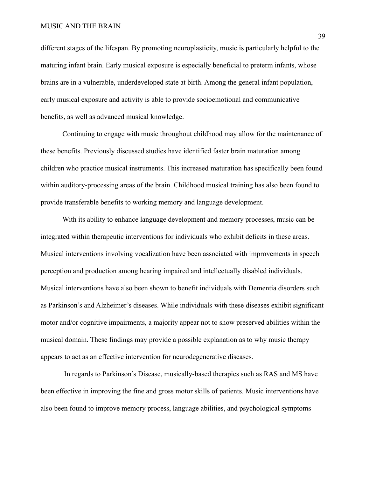#### MUSIC AND THE BRAIN

different stages of the lifespan. By promoting neuroplasticity, music is particularly helpful to the maturing infant brain. Early musical exposure is especially beneficial to preterm infants, whose brains are in a vulnerable, underdeveloped state at birth. Among the general infant population, early musical exposure and activity is able to provide socioemotional and communicative benefits, as well as advanced musical knowledge.

Continuing to engage with music throughout childhood may allow for the maintenance of these benefits. Previously discussed studies have identified faster brain maturation among children who practice musical instruments. This increased maturation has specifically been found within auditory-processing areas of the brain. Childhood musical training has also been found to provide transferable benefits to working memory and language development.

With its ability to enhance language development and memory processes, music can be integrated within therapeutic interventions for individuals who exhibit deficits in these areas. Musical interventions involving vocalization have been associated with improvements in speech perception and production among hearing impaired and intellectually disabled individuals. Musical interventions have also been shown to benefit individuals with Dementia disorders such as Parkinson's and Alzheimer's diseases. While individuals with these diseases exhibit significant motor and/or cognitive impairments, a majority appear not to show preserved abilities within the musical domain. These findings may provide a possible explanation as to why music therapy appears to act as an effective intervention for neurodegenerative diseases.

In regards to Parkinson's Disease, musically-based therapies such as RAS and MS have been effective in improving the fine and gross motor skills of patients. Music interventions have also been found to improve memory process, language abilities, and psychological symptoms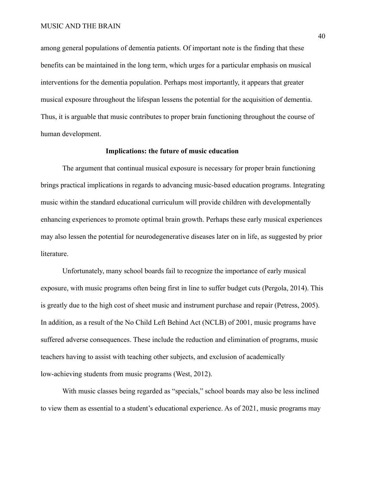among general populations of dementia patients. Of important note is the finding that these benefits can be maintained in the long term, which urges for a particular emphasis on musical interventions for the dementia population. Perhaps most importantly, it appears that greater musical exposure throughout the lifespan lessens the potential for the acquisition of dementia. Thus, it is arguable that music contributes to proper brain functioning throughout the course of human development.

## **Implications: the future of music education**

The argument that continual musical exposure is necessary for proper brain functioning brings practical implications in regards to advancing music-based education programs. Integrating music within the standard educational curriculum will provide children with developmentally enhancing experiences to promote optimal brain growth. Perhaps these early musical experiences may also lessen the potential for neurodegenerative diseases later on in life, as suggested by prior literature.

Unfortunately, many school boards fail to recognize the importance of early musical exposure, with music programs often being first in line to suffer budget cuts (Pergola, 2014). This is greatly due to the high cost of sheet music and instrument purchase and repair (Petress, 2005). In addition, as a result of the No Child Left Behind Act (NCLB) of 2001, music programs have suffered adverse consequences. These include the reduction and elimination of programs, music teachers having to assist with teaching other subjects, and exclusion of academically low-achieving students from music programs (West, 2012).

With music classes being regarded as "specials," school boards may also be less inclined to view them as essential to a student's educational experience. As of 2021, music programs may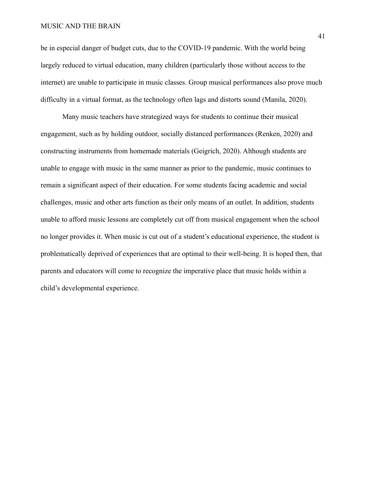## MUSIC AND THE BRAIN

be in especial danger of budget cuts, due to the COVID-19 pandemic. With the world being largely reduced to virtual education, many children (particularly those without access to the internet) are unable to participate in music classes. Group musical performances also prove much difficulty in a virtual format, as the technology often lags and distorts sound (Manila, 2020).

Many music teachers have strategized ways for students to continue their musical engagement, such as by holding outdoor, socially distanced performances (Renken, 2020) and constructing instruments from homemade materials (Geigrich, 2020). Although students are unable to engage with music in the same manner as prior to the pandemic, music continues to remain a significant aspect of their education. For some students facing academic and social challenges, music and other arts function as their only means of an outlet. In addition, students unable to afford music lessons are completely cut off from musical engagement when the school no longer provides it. When music is cut out of a student's educational experience, the student is problematically deprived of experiences that are optimal to their well-being. It is hoped then, that parents and educators will come to recognize the imperative place that music holds within a child's developmental experience.

41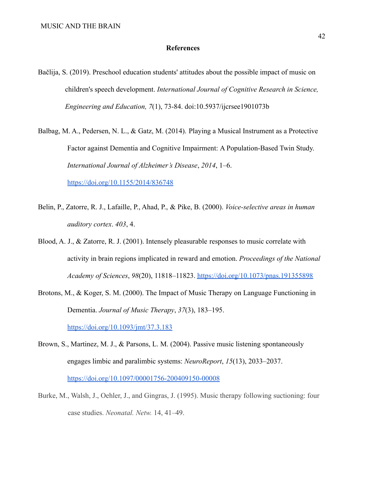#### **References**

- Bačlija, S. (2019). Preschool education students' attitudes about the possible impact of music on children's speech development. *International Journal of Cognitive Research in Science, Engineering and Education, 7*(1), 73-84. doi:10.5937/ijcrsee1901073b
- Balbag, M. A., Pedersen, N. L., & Gatz, M. (2014). Playing a Musical Instrument as a Protective Factor against Dementia and Cognitive Impairment: A Population-Based Twin Study. *International Journal of Alzheimer's Disease*, *2014*, 1–6. <https://doi.org/10.1155/2014/836748>
- Belin, P., Zatorre, R. J., Lafaille, P., Ahad, P., & Pike, B. (2000). *Voice-selective areas in human auditory cortex*. *403*, 4.
- Blood, A. J., & Zatorre, R. J. (2001). Intensely pleasurable responses to music correlate with activity in brain regions implicated in reward and emotion. *Proceedings of the National Academy of Sciences*, *98*(20), 11818–11823. <https://doi.org/10.1073/pnas.191355898>
- Brotons, M., & Koger, S. M. (2000). The Impact of Music Therapy on Language Functioning in Dementia. *Journal of Music Therapy*, *37*(3), 183–195[.](https://doi.org/10.1093/jmt/37.3.183)

<https://doi.org/10.1093/jmt/37.3.183>

- Brown, S., Martinez, M. J., & Parsons, L. M. (2004). Passive music listening spontaneously engages limbic and paralimbic systems: *NeuroReport*, *15*(13), 2033–2037[.](https://doi.org/10.1097/00001756-200409150-00008) <https://doi.org/10.1097/00001756-200409150-00008>
- Burke, M., Walsh, J., Oehler, J., and Gingras, J. (1995). Music therapy following suctioning: four case studies. *Neonatal. Netw.* 14, 41–49.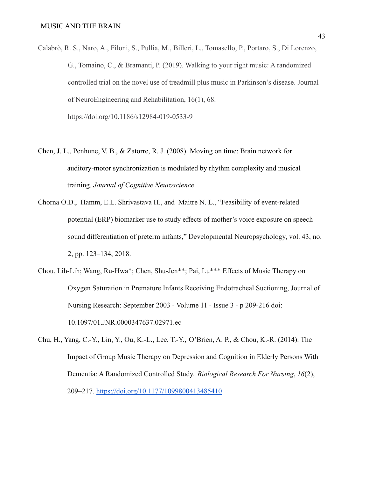- Calabrò, R. S., Naro, A., Filoni, S., Pullia, M., Billeri, L., Tomasello, P., Portaro, S., Di Lorenzo, G., Tomaino, C., & Bramanti, P. (2019). Walking to your right music: A randomized controlled trial on the novel use of treadmill plus music in Parkinson's disease. Journal of NeuroEngineering and Rehabilitation, 16(1), 68. https://doi.org/10.1186/s12984-019-0533-9
- Chen, J. L., Penhune, V. B., & Zatorre, R. J. (2008). Moving on time: Brain network for auditory-motor synchronization is modulated by rhythm complexity and musical training. *Journal of Cognitive Neuroscience*.
- Chorna O.D., Hamm, E.L. Shrivastava H., and Maitre N. L., "Feasibility of event-related potential (ERP) biomarker use to study effects of mother's voice exposure on speech sound differentiation of preterm infants," Developmental Neuropsychology, vol. 43, no. 2, pp. 123–134, 2018.
- Chou, Lih-Lih; Wang, Ru-Hwa\*; Chen, Shu-Jen\*\*; Pai, Lu\*\*\* Effects of Music Therapy on Oxygen Saturation in Premature Infants Receiving Endotracheal Suctioning, Journal of Nursing Research: September 2003 - Volume 11 - Issue 3 - p 209-216 doi: 10.1097/01.JNR.0000347637.02971.ec
- Chu, H., Yang, C.-Y., Lin, Y., Ou, K.-L., Lee, T.-Y., O'Brien, A. P., & Chou, K.-R. (2014). The Impact of Group Music Therapy on Depression and Cognition in Elderly Persons With Dementia: A Randomized Controlled Study. *Biological Research For Nursing*, *16*(2), 209–217. <https://doi.org/10.1177/1099800413485410>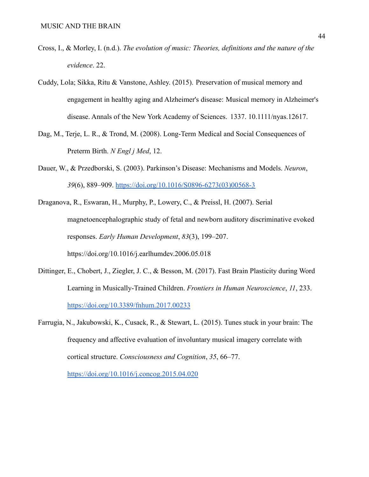- Cross, I., & Morley, I. (n.d.). *The evolution of music: Theories, definitions and the nature of the evidence*. 22.
- Cuddy, Lola; Sikka, Ritu & Vanstone, Ashley. (2015). Preservation of musical memory and engagement in healthy aging and Alzheimer's disease: Musical memory in Alzheimer's disease. Annals of the New York Academy of Sciences. 1337. 10.1111/nyas.12617.
- Dag, M., Terje, L. R., & Trond, M. (2008). Long-Term Medical and Social Consequences of Preterm Birth. *N Engl j Med*, 12.
- Dauer, W., & Przedborski, S. (2003). Parkinson's Disease: Mechanisms and Models. *Neuron*, *39*(6), 889–909. [https://doi.org/10.1016/S0896-6273\(03\)00568-3](https://doi.org/10.1016/S0896-6273(03)00568-3)
- Draganova, R., Eswaran, H., Murphy, P., Lowery, C., & Preissl, H. (2007). Serial magnetoencephalographic study of fetal and newborn auditory discriminative evoked responses. *Early Human Development*, *83*(3), 199–207. <https://doi.org/10.1016/j.earlhumdev.2006.05.018>
- Dittinger, E., Chobert, J., Ziegler, J. C., & Besson, M. (2017). Fast Brain Plasticity during Word Learning in Musically-Trained Children. *Frontiers in Human Neuroscience*, *11*, 233. <https://doi.org/10.3389/fnhum.2017.00233>
- Farrugia, N., Jakubowski, K., Cusack, R., & Stewart, L. (2015). Tunes stuck in your brain: The frequency and affective evaluation of involuntary musical imagery correlate with cortical structure. *Consciousness and Cognition*, *35*, 66–77[.](https://doi.org/10.1016/j.concog.2015.04.020)

<https://doi.org/10.1016/j.concog.2015.04.020>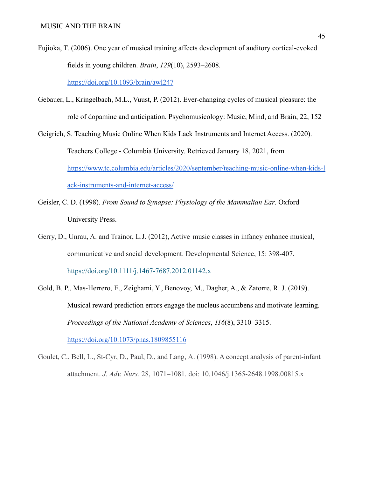- Fujioka, T. (2006). One year of musical training affects development of auditory cortical-evoked fields in young children. *Brain*, *129*(10), 2593–2608[.](https://doi.org/10.1093/brain/awl247) <https://doi.org/10.1093/brain/awl247>
- Gebauer, L., Kringelbach, M.L., Vuust, P. (2012). Ever-changing cycles of musical pleasure: the role of dopamine and anticipation. Psychomusicology: Music, Mind, and Brain, 22, 152

Geigrich, S. Teaching Music Online When Kids Lack Instruments and Internet Access. (2020). Teachers College - Columbia University. Retrieved January 18, 2021, fro[m](https://www.tc.columbia.edu/articles/2020/september/teaching-music-online-when-kids-lack-instruments-and-internet-access/) [https://www.tc.columbia.edu/articles/2020/september/teaching-music-online-when-kids-l](https://www.tc.columbia.edu/articles/2020/september/teaching-music-online-when-kids-lack-instruments-and-internet-access/) [ack-instruments-and-internet-access/](https://www.tc.columbia.edu/articles/2020/september/teaching-music-online-when-kids-lack-instruments-and-internet-access/)

- Geisler, C. D. (1998). *From Sound to Synapse: Physiology of the Mammalian Ear*. Oxford University Press.
- Gerry, D., Unrau, A. and Trainor, L.J. (2012), Active music classes in infancy enhance musical, communicative and social development. Developmental Science, 15: 398-407. <https://doi.org/10.1111/j.1467-7687.2012.01142.x>
- Gold, B. P., Mas-Herrero, E., Zeighami, Y., Benovoy, M., Dagher, A., & Zatorre, R. J. (2019). Musical reward prediction errors engage the nucleus accumbens and motivate learning. *Proceedings of the National Academy of Sciences*, *116*(8), 3310–3315[.](https://doi.org/10.1073/pnas.1809855116) <https://doi.org/10.1073/pnas.1809855116>
- Goulet, C., Bell, L., St-Cyr, D., Paul, D., and Lang, A. (1998). A concept analysis of parent-infant attachment. *J. Adv. Nurs.* 28, 1071–1081. doi: 10.1046/j.1365-2648.1998.00815.x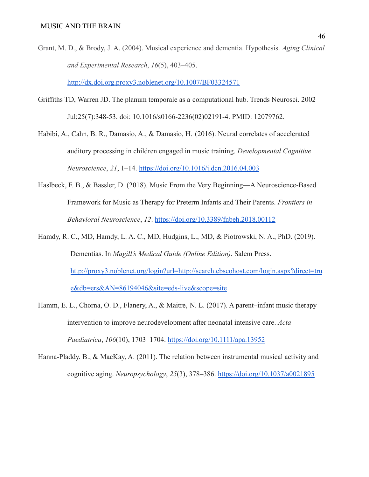Grant, M. D., & Brody, J. A. (2004). Musical experience and dementia. Hypothesis. *Aging Clinical and Experimental Research*, *16*(5), 403–405.

<http://dx.doi.org.proxy3.noblenet.org/10.1007/BF03324571>

- Griffiths TD, Warren JD. The planum temporale as a computational hub. Trends Neurosci. 2002 Jul;25(7):348-53. doi: 10.1016/s0166-2236(02)02191-4. PMID: 12079762.
- Habibi, A., Cahn, B. R., Damasio, A., & Damasio, H. (2016). Neural correlates of accelerated auditory processing in children engaged in music training. *Developmental Cognitive Neuroscience*, *21*, 1–14. <https://doi.org/10.1016/j.dcn.2016.04.003>
- Haslbeck, F. B., & Bassler, D. (2018). Music From the Very Beginning—A Neuroscience-Based Framework for Music as Therapy for Preterm Infants and Their Parents. *Frontiers in Behavioral Neuroscience*, *12*. <https://doi.org/10.3389/fnbeh.2018.00112>
- Hamdy, R. C., MD, Hamdy, L. A. C., MD, Hudgins, L., MD, & Piotrowski, N. A., PhD. (2019). Dementias. In *Magill's Medical Guide (Online Edition)*. Salem Press[.](http://proxy3.noblenet.org/login?url=http://search.ebscohost.com/login.aspx?direct=true&db=ers&AN=86194046&site=eds-live&scope=site) [http://proxy3.noblenet.org/login?url=http://search.ebscohost.com/login.aspx?direct=tru](http://proxy3.noblenet.org/login?url=http://search.ebscohost.com/login.aspx?direct=true&db=ers&AN=86194046&site=eds-live&scope=site) [e&db=ers&AN=86194046&site=eds-live&scope=site](http://proxy3.noblenet.org/login?url=http://search.ebscohost.com/login.aspx?direct=true&db=ers&AN=86194046&site=eds-live&scope=site)
- Hamm, E. L., Chorna, O. D., Flanery, A., & Maitre, N. L. (2017). A parent–infant music therapy intervention to improve neurodevelopment after neonatal intensive care. *Acta Paediatrica*, *106*(10), 1703–1704. <https://doi.org/10.1111/apa.13952>
- Hanna-Pladdy, B., & MacKay, A. (2011). The relation between instrumental musical activity and cognitive aging. *Neuropsychology*, *25*(3), 378–386. <https://doi.org/10.1037/a0021895>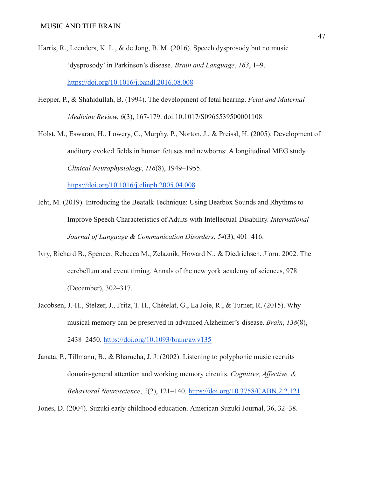- Harris, R., Leenders, K. L., & de Jong, B. M. (2016). Speech dysprosody but no music 'dysprosody' in Parkinson's disease. *Brain and Language*, *163*, 1–9[.](https://doi.org/10.1016/j.bandl.2016.08.008) <https://doi.org/10.1016/j.bandl.2016.08.008>
- Hepper, P., & Shahidullah, B. (1994). The development of fetal hearing. *Fetal and Maternal Medicine Review, 6*(3), 167-179. doi:10.1017/S0965539500001108

Holst, M., Eswaran, H., Lowery, C., Murphy, P., Norton, J., & Preissl, H. (2005). Development of auditory evoked fields in human fetuses and newborns: A longitudinal MEG study. *Clinical Neurophysiology*, *116*(8), 1949–1955[.](https://doi.org/10.1016/j.clinph.2005.04.008)

<https://doi.org/10.1016/j.clinph.2005.04.008>

- Icht, M. (2019). Introducing the Beatalk Technique: Using Beatbox Sounds and Rhythms to Improve Speech Characteristics of Adults with Intellectual Disability. *International Journal of Language & Communication Disorders*, *54*(3), 401–416.
- Ivry, Richard B., Spencer, Rebecca M., Zelaznik, Howard N., & Diedrichsen, J¨orn. 2002. The cerebellum and event timing. Annals of the new york academy of sciences, 978 (December), 302–317.
- Jacobsen, J.-H., Stelzer, J., Fritz, T. H., Chételat, G., La Joie, R., & Turner, R. (2015). Why musical memory can be preserved in advanced Alzheimer's disease. *Brain*, *138*(8), 2438–2450. <https://doi.org/10.1093/brain/awv135>
- Janata, P., Tillmann, B., & Bharucha, J. J. (2002). Listening to polyphonic music recruits domain-general attention and working memory circuits. *Cognitive, Affective, & Behavioral Neuroscience*, *2*(2), 121–140. <https://doi.org/10.3758/CABN.2.2.121>

Jones, D. (2004). Suzuki early childhood education. American Suzuki Journal, 36, 32–38.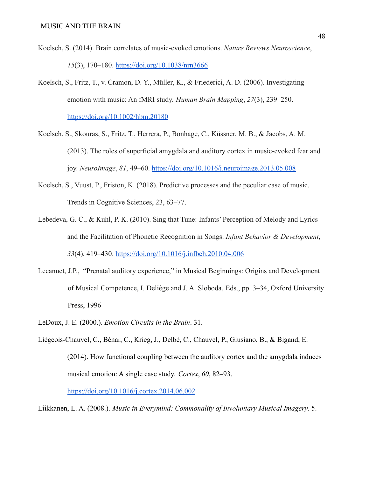- Koelsch, S. (2014). Brain correlates of music-evoked emotions. *Nature Reviews Neuroscience*, *15*(3), 170–180. <https://doi.org/10.1038/nrn3666>
- Koelsch, S., Fritz, T., v. Cramon, D. Y., Müller, K., & Friederici, A. D. (2006). Investigating emotion with music: An fMRI study. *Human Brain Mapping*, *27*(3), 239–250. <https://doi.org/10.1002/hbm.20180>
- Koelsch, S., Skouras, S., Fritz, T., Herrera, P., Bonhage, C., Küssner, M. B., & Jacobs, A. M. (2013). The roles of superficial amygdala and auditory cortex in music-evoked fear and joy. *NeuroImage*, *81*, 49–60. <https://doi.org/10.1016/j.neuroimage.2013.05.008>
- Koelsch, S., Vuust, P., Friston, K. (2018). Predictive processes and the peculiar case of music. Trends in Cognitive Sciences, 23, 63–77.
- Lebedeva, G. C., & Kuhl, P. K. (2010). Sing that Tune: Infants' Perception of Melody and Lyrics and the Facilitation of Phonetic Recognition in Songs. *Infant Behavior & Development*, *33*(4), 419–430. <https://doi.org/10.1016/j.infbeh.2010.04.006>
- Lecanuet, J.P., "Prenatal auditory experience," in Musical Beginnings: Origins and Development of Musical Competence, I. Deliège and J. A. Sloboda, Eds., pp. 3–34, Oxford University Press, 1996
- LeDoux, J. E. (2000.). *Emotion Circuits in the Brain*. 31.
- Liégeois-Chauvel, C., Bénar, C., Krieg, J., Delbé, C., Chauvel, P., Giusiano, B., & Bigand, E. (2014). How functional coupling between the auditory cortex and the amygdala induces musical emotion: A single case study. *Cortex*, *60*, 82–93.

<https://doi.org/10.1016/j.cortex.2014.06.002>

Liikkanen, L. A. (2008.). *Music in Everymind: Commonality of Involuntary Musical Imagery*. 5.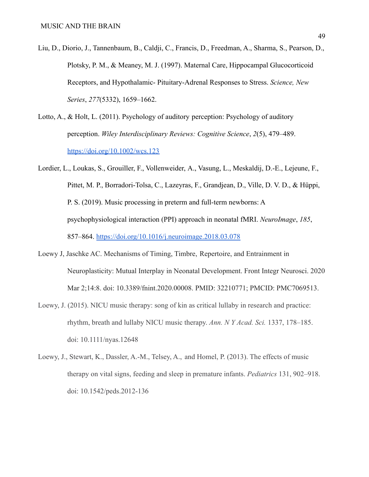- Liu, D., Diorio, J., Tannenbaum, B., Caldji, C., Francis, D., Freedman, A., Sharma, S., Pearson, D., Plotsky, P. M., & Meaney, M. J. (1997). Maternal Care, Hippocampal Glucocorticoid Receptors, and Hypothalamic- Pituitary-Adrenal Responses to Stress. *Science, New Series*, *277*(5332), 1659–1662.
- Lotto, A., & Holt, L. (2011). Psychology of auditory perception: Psychology of auditory perception. *Wiley Interdisciplinary Reviews: Cognitive Science*, *2*(5), 479–489. <https://doi.org/10.1002/wcs.123>
- Lordier, L., Loukas, S., Grouiller, F., Vollenweider, A., Vasung, L., Meskaldij, D.-E., Lejeune, F., Pittet, M. P., Borradori-Tolsa, C., Lazeyras, F., Grandjean, D., Ville, D. V. D., & Hüppi, P. S. (2019). Music processing in preterm and full-term newborns: A psychophysiological interaction (PPI) approach in neonatal fMRI. *NeuroImage*, *185*, 857–864. <https://doi.org/10.1016/j.neuroimage.2018.03.078>
- Loewy J, Jaschke AC. Mechanisms of Timing, Timbre, Repertoire, and Entrainment in Neuroplasticity: Mutual Interplay in Neonatal Development. Front Integr Neurosci. 2020 Mar 2;14:8. doi: 10.3389/fnint.2020.00008. PMID: 32210771; PMCID: PMC7069513.
- Loewy, J. (2015). NICU music therapy: song of kin as critical lullaby in research and practice: rhythm, breath and lullaby NICU music therapy. *Ann. N Y Acad. Sci.* 1337, 178–185. doi: 10.1111/nyas.12648
- Loewy, J., Stewart, K., Dassler, A.-M., Telsey, A., and Homel, P. (2013). The effects of music therapy on vital signs, feeding and sleep in premature infants. *Pediatrics* 131, 902–918. doi: 10.1542/peds.2012-136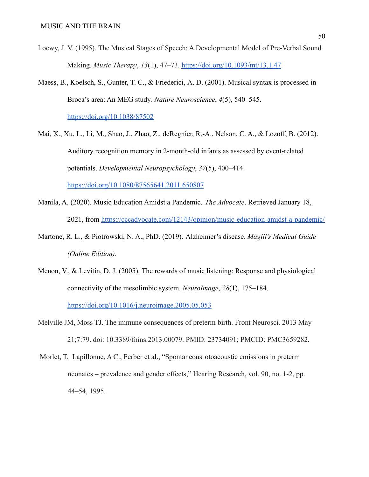- Loewy, J. V. (1995). The Musical Stages of Speech: A Developmental Model of Pre-Verbal Sound Making. *Music Therapy*, *13*(1), 47–73. <https://doi.org/10.1093/mt/13.1.47>
- Maess, B., Koelsch, S., Gunter, T. C., & Friederici, A. D. (2001). Musical syntax is processed in Broca's area: An MEG study. *Nature Neuroscience*, *4*(5), 540–545[.](https://doi.org/10.1038/87502)

<https://doi.org/10.1038/87502>

- Mai, X., Xu, L., Li, M., Shao, J., Zhao, Z., deRegnier, R.-A., Nelson, C. A., & Lozoff, B. (2012). Auditory recognition memory in 2-month-old infants as assessed by event-related potentials. *Developmental Neuropsychology*, *37*(5), 400–414. <https://doi.org/10.1080/87565641.2011.650807>
- Manila, A. (2020). Music Education Amidst a Pandemic. *The Advocate*. Retrieved January 18, 2021, from <https://cccadvocate.com/12143/opinion/music-education-amidst-a-pandemic/>
- Martone, R. L., & Piotrowski, N. A., PhD. (2019). Alzheimer's disease. *Magill's Medical Guide (Online Edition)*.
- Menon, V., & Levitin, D. J. (2005). The rewards of music listening: Response and physiological connectivity of the mesolimbic system. *NeuroImage*, *28*(1), 175–184. <https://doi.org/10.1016/j.neuroimage.2005.05.053>
- Melville JM, Moss TJ. The immune consequences of preterm birth. Front Neurosci. 2013 May 21;7:79. doi: 10.3389/fnins.2013.00079. PMID: 23734091; PMCID: PMC3659282.
- Morlet, T. Lapillonne, A C., Ferber et al., "Spontaneous otoacoustic emissions in preterm neonates – prevalence and gender effects," Hearing Research, vol. 90, no. 1-2, pp. 44–54, 1995.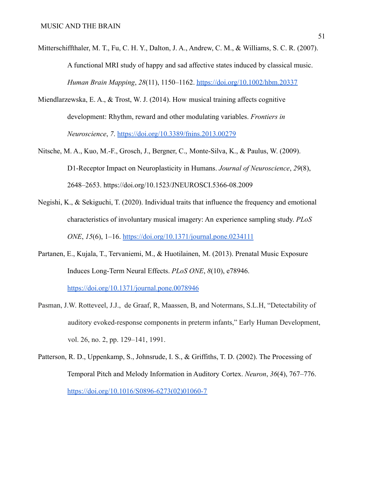- Mitterschiffthaler, M. T., Fu, C. H. Y., Dalton, J. A., Andrew, C. M., & Williams, S. C. R. (2007). A functional MRI study of happy and sad affective states induced by classical music. *Human Brain Mapping*, *28*(11), 1150–1162. <https://doi.org/10.1002/hbm.20337>
- Miendlarzewska, E. A., & Trost, W. J. (2014). How musical training affects cognitive development: Rhythm, reward and other modulating variables. *Frontiers in Neuroscience*, *7*. <https://doi.org/10.3389/fnins.2013.00279>
- Nitsche, M. A., Kuo, M.-F., Grosch, J., Bergner, C., Monte-Silva, K., & Paulus, W. (2009). D1-Receptor Impact on Neuroplasticity in Humans. *Journal of Neuroscience*, *29*(8), 2648–2653. <https://doi.org/10.1523/JNEUROSCI.5366-08.2009>
- Negishi, K., & Sekiguchi, T. (2020). Individual traits that influence the frequency and emotional characteristics of involuntary musical imagery: An experience sampling study. *PLoS ONE*, *15*(6), 1–16. <https://doi.org/10.1371/journal.pone.0234111>
- Partanen, E., Kujala, T., Tervaniemi, M., & Huotilainen, M. (2013). Prenatal Music Exposure Induces Long-Term Neural Effects. *PLoS ONE*, *8*(10), e78946[.](https://doi.org/10.1371/journal.pone.0078946) <https://doi.org/10.1371/journal.pone.0078946>
- Pasman, J.W. Rotteveel, J.J., de Graaf, R, Maassen, B, and Notermans, S.L.H, "Detectability of auditory evoked-response components in preterm infants," Early Human Development, vol. 26, no. 2, pp. 129–141, 1991.
- Patterson, R. D., Uppenkamp, S., Johnsrude, I. S., & Griffiths, T. D. (2002). The Processing of Temporal Pitch and Melody Information in Auditory Cortex. *Neuron*, *36*(4), 767–776[.](https://doi.org/10.1016/S0896-6273(02)01060-7) [https://doi.org/10.1016/S0896-6273\(02\)01060-7](https://doi.org/10.1016/S0896-6273(02)01060-7)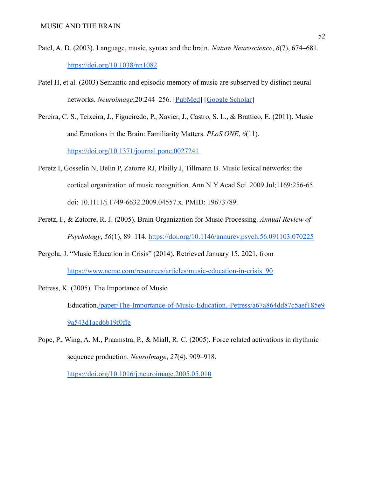- Patel, A. D. (2003). Language, music, syntax and the brain. *Nature Neuroscience*, *6*(7), 674–681[.](https://doi.org/10.1038/nn1082) <https://doi.org/10.1038/nn1082>
- Patel H, et al. (2003) Semantic and episodic memory of music are subserved by distinct neural networks. *Neuroimage*;20:244–256. [\[PubMed\]](https://www.ncbi.nlm.nih.gov/pubmed/14527585) [Google [Scholar\]](https://scholar.google.com/scholar_lookup?journal=Neuroimage&title=Semantic+and+episodic+memory+of+music+are+subserved+by+distinct+neural+networks&author=H+Platel&volume=20&publication_year=2003&pages=244-256&pmid=14527585&)
- Pereira, C. S., Teixeira, J., Figueiredo, P., Xavier, J., Castro, S. L., & Brattico, E. (2011). Music and Emotions in the Brain: Familiarity Matters. *PLoS ONE*, *6*(11). <https://doi.org/10.1371/journal.pone.0027241>
- Peretz I, Gosselin N, Belin P, Zatorre RJ, Plailly J, Tillmann B. Music lexical networks: the cortical organization of music recognition. Ann N Y Acad Sci. 2009 Jul;1169:256-65. doi: 10.1111/j.1749-6632.2009.04557.x. PMID: 19673789.
- Peretz, I., & Zatorre, R. J. (2005). Brain Organization for Music Processing. *Annual Review of Psychology*, *56*(1), 89–114. <https://doi.org/10.1146/annurev.psych.56.091103.070225>
- Pergola, J. "Music Education in Crisis" (2014). Retrieved January 15, 2021, fro[m](https://www.nemc.com/resources/articles/music-education-in-crisis_90) [https://www.nemc.com/resources/articles/music-education-in-crisis\\_90](https://www.nemc.com/resources/articles/music-education-in-crisis_90)
- Petress, K. (2005). The Importance of Music Education[./paper/The-Importance-of-Music-Education.-Petress/a67a864dd87c5aef185e9](https://doi.org//paper/The-Importance-of-Music-Education.-Petress/a67a864dd87c5aef185e99a543d1acd6b19f0ffe) [9a543d1acd6b19f0ffe](https://doi.org//paper/The-Importance-of-Music-Education.-Petress/a67a864dd87c5aef185e99a543d1acd6b19f0ffe)
- Pope, P., Wing, A. M., Praamstra, P., & Miall, R. C. (2005). Force related activations in rhythmic sequence production. *NeuroImage*, *27*(4), 909–918[.](https://doi.org/10.1016/j.neuroimage.2005.05.010)

<https://doi.org/10.1016/j.neuroimage.2005.05.010>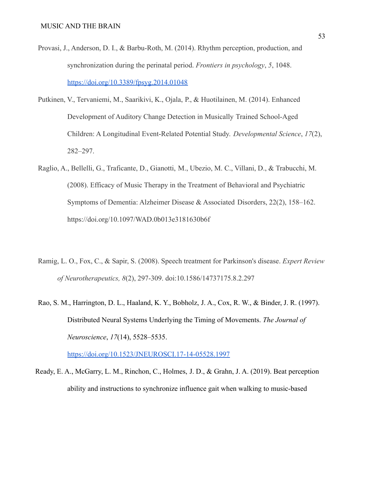- Provasi, J., Anderson, D. I., & Barbu-Roth, M. (2014). Rhythm perception, production, and synchronization during the perinatal period. *Frontiers in psychology*, *5*, 1048. <https://doi.org/10.3389/fpsyg.2014.01048>
- Putkinen, V., Tervaniemi, M., Saarikivi, K., Ojala, P., & Huotilainen, M. (2014). Enhanced Development of Auditory Change Detection in Musically Trained School-Aged Children: A Longitudinal Event-Related Potential Study. *Developmental Science*, *17*(2), 282–297.
- Raglio, A., Bellelli, G., Traficante, D., Gianotti, M., Ubezio, M. C., Villani, D., & Trabucchi, M. (2008). Efficacy of Music Therapy in the Treatment of Behavioral and Psychiatric Symptoms of Dementia: Alzheimer Disease & Associated Disorders, 22(2), 158–162. https://doi.org/10.1097/WAD.0b013e3181630b6f
- Ramig, L. O., Fox, C., & Sapir, S. (2008). Speech treatment for Parkinson's disease. *Expert Review of Neurotherapeutics, 8*(2), 297-309. doi:10.1586/14737175.8.2.297
- Rao, S. M., Harrington, D. L., Haaland, K. Y., Bobholz, J. A., Cox, R. W., & Binder, J. R. (1997). Distributed Neural Systems Underlying the Timing of Movements. *The Journal of Neuroscience*, *17*(14), 5528–5535.

<https://doi.org/10.1523/JNEUROSCI.17-14-05528.1997>

Ready, E. A., McGarry, L. M., Rinchon, C., Holmes, J. D., & Grahn, J. A. (2019). Beat perception ability and instructions to synchronize influence gait when walking to music-based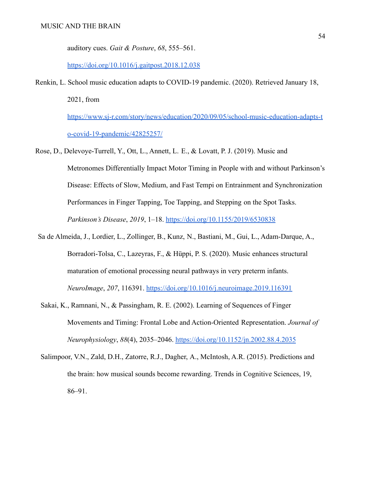auditory cues. *Gait & Posture*, *68*, 555–561.

<https://doi.org/10.1016/j.gaitpost.2018.12.038>

Renkin, L. School music education adapts to COVID-19 pandemic. (2020). Retrieved January 18,

2021, fro[m](https://www.sj-r.com/story/news/education/2020/09/05/school-music-education-adapts-to-covid-19-pandemic/42825257/)

[https://www.sj-r.com/story/news/education/2020/09/05/school-music-education-adapts-t](https://www.sj-r.com/story/news/education/2020/09/05/school-music-education-adapts-to-covid-19-pandemic/42825257/) [o-covid-19-pandemic/42825257/](https://www.sj-r.com/story/news/education/2020/09/05/school-music-education-adapts-to-covid-19-pandemic/42825257/)

Rose, D., Delevoye-Turrell, Y., Ott, L., Annett, L. E., & Lovatt, P. J. (2019). Music and

Metronomes Differentially Impact Motor Timing in People with and without Parkinson's Disease: Effects of Slow, Medium, and Fast Tempi on Entrainment and Synchronization Performances in Finger Tapping, Toe Tapping, and Stepping on the Spot Tasks. *Parkinson's Disease*, *2019*, 1–18. <https://doi.org/10.1155/2019/6530838>

- Sa de Almeida, J., Lordier, L., Zollinger, B., Kunz, N., Bastiani, M., Gui, L., Adam-Darque, A., Borradori-Tolsa, C., Lazeyras, F., & Hüppi, P. S. (2020). Music enhances structural maturation of emotional processing neural pathways in very preterm infants. *NeuroImage*, *207*, 116391. <https://doi.org/10.1016/j.neuroimage.2019.116391>
- Sakai, K., Ramnani, N., & Passingham, R. E. (2002). Learning of Sequences of Finger Movements and Timing: Frontal Lobe and Action-Oriented Representation. *Journal of Neurophysiology*, *88*(4), 2035–2046. <https://doi.org/10.1152/jn.2002.88.4.2035>
- Salimpoor, V.N., Zald, D.H., Zatorre, R.J., Dagher, A., McIntosh, A.R. (2015). Predictions and the brain: how musical sounds become rewarding. Trends in Cognitive Sciences, 19, 86–91.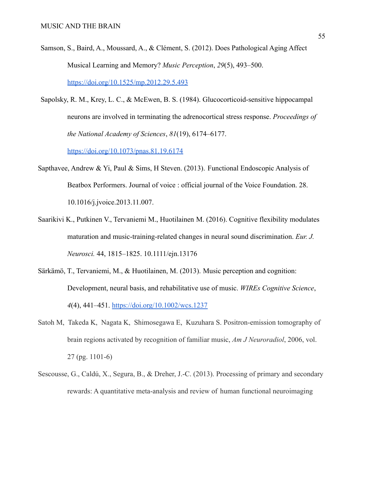- Samson, S., Baird, A., Moussard, A., & Clément, S. (2012). Does Pathological Aging Affect Musical Learning and Memory? *Music Perception*, *29*(5), 493–500[.](https://doi.org/10.1525/mp.2012.29.5.493) <https://doi.org/10.1525/mp.2012.29.5.493>
- Sapolsky, R. M., Krey, L. C., & McEwen, B. S. (1984). Glucocorticoid-sensitive hippocampal neurons are involved in terminating the adrenocortical stress response. *Proceedings of the National Academy of Sciences*, *81*(19), 6174–6177[.](https://doi.org/10.1073/pnas.81.19.6174)

<https://doi.org/10.1073/pnas.81.19.6174>

- Sapthavee, Andrew & Yi, Paul & Sims, H Steven. (2013). Functional Endoscopic Analysis of Beatbox Performers. Journal of voice : official journal of the Voice Foundation. 28. 10.1016/j.jvoice.2013.11.007.
- Saarikivi K., Putkinen V., Tervaniemi M., Huotilainen M. (2016). Cognitive flexibility modulates maturation and music-training-related changes in neural sound discrimination. *Eur. J. Neurosci.* 44, 1815–1825. 10.1111/ejn.13176
- Särkämö, T., Tervaniemi, M., & Huotilainen, M. (2013). Music perception and cognition: Development, neural basis, and rehabilitative use of music. *WIREs Cognitive Science*, *4*(4), 441–451. <https://doi.org/10.1002/wcs.1237>
- Satoh M, Takeda K, Nagata K, Shimosegawa E, Kuzuhara S. Positron-emission tomography of brain regions activated by recognition of familiar music, *Am J Neuroradiol*, 2006, vol. 27 (pg. 1101-6)
- Sescousse, G., Caldú, X., Segura, B., & Dreher, J.-C. (2013). Processing of primary and secondary rewards: A quantitative meta-analysis and review of human functional neuroimaging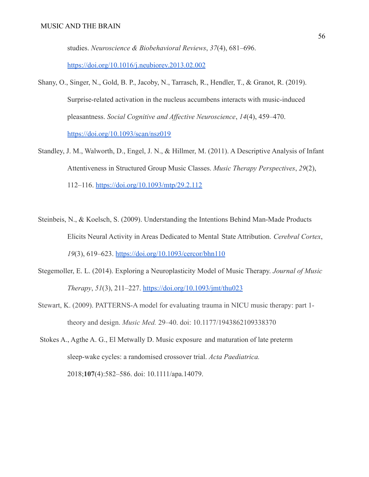studies. *Neuroscience & Biobehavioral Reviews*, *37*(4), 681–696[.](https://doi.org/10.1016/j.neubiorev.2013.02.002)

<https://doi.org/10.1016/j.neubiorev.2013.02.002>

- Shany, O., Singer, N., Gold, B. P., Jacoby, N., Tarrasch, R., Hendler, T., & Granot, R. (2019). Surprise-related activation in the nucleus accumbens interacts with music-induced pleasantness. *Social Cognitive and Affective Neuroscience*, *14*(4), 459–470[.](https://doi.org/10.1093/scan/nsz019) <https://doi.org/10.1093/scan/nsz019>
- Standley, J. M., Walworth, D., Engel, J. N., & Hillmer, M. (2011). A Descriptive Analysis of Infant Attentiveness in Structured Group Music Classes. *Music Therapy Perspectives*, *29*(2), 112–116. <https://doi.org/10.1093/mtp/29.2.112>
- Steinbeis, N., & Koelsch, S. (2009). Understanding the Intentions Behind Man-Made Products Elicits Neural Activity in Areas Dedicated to Mental State Attribution. *Cerebral Cortex*, *19*(3), 619–623. <https://doi.org/10.1093/cercor/bhn110>
- Stegemoller, E. L. (2014). Exploring a Neuroplasticity Model of Music Therapy. *Journal of Music Therapy*, *51*(3), 211–227. <https://doi.org/10.1093/jmt/thu023>
- Stewart, K. (2009). PATTERNS-A model for evaluating trauma in NICU music therapy: part 1 theory and design. *Music Med.* 29–40. doi: 10.1177/1943862109338370
- Stokes A., Agthe A. G., El Metwally D. Music exposure and maturation of late preterm sleep-wake cycles: a randomised crossover trial. *Acta Paediatrica.* 2018;**107**(4):582–586. doi: 10.1111/apa.14079.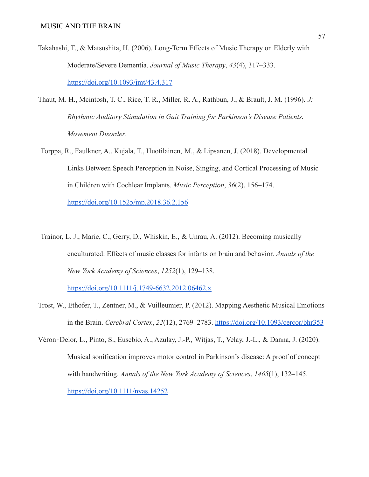- Takahashi, T., & Matsushita, H. (2006). Long-Term Effects of Music Therapy on Elderly with Moderate/Severe Dementia. *Journal of Music Therapy*, *43*(4), 317–333[.](https://doi.org/10.1093/jmt/43.4.317) <https://doi.org/10.1093/jmt/43.4.317>
- Thaut, M. H., Mcintosh, T. C., Rice, T. R., Miller, R. A., Rathbun, J., & Brault, J. M. (1996). *J: Rhythmic Auditory Stimulation in Gait Training for Parkinson's Disease Patients. Movement Disorder*.
- Torppa, R., Faulkner, A., Kujala, T., Huotilainen, M., & Lipsanen, J. (2018). Developmental Links Between Speech Perception in Noise, Singing, and Cortical Processing of Music in Children with Cochlear Implants. *Music Perception*, *36*(2), 156–174[.](https://doi.org/10.1525/mp.2018.36.2.156) <https://doi.org/10.1525/mp.2018.36.2.156>
- Trainor, L. J., Marie, C., Gerry, D., Whiskin, E., & Unrau, A. (2012). Becoming musically enculturated: Effects of music classes for infants on brain and behavior. *Annals of the New York Academy of Sciences*, *1252*(1), 129–138[.](https://doi.org/10.1111/j.1749-6632.2012.06462.x)

<https://doi.org/10.1111/j.1749-6632.2012.06462.x>

- Trost, W., Ethofer, T., Zentner, M., & Vuilleumier, P. (2012). Mapping Aesthetic Musical Emotions in the Brain. *Cerebral Cortex*, *22*(12), 2769–2783. <https://doi.org/10.1093/cercor/bhr353>
- Véron‐Delor, L., Pinto, S., Eusebio, A., Azulay, J.-P., Witjas, T., Velay, J.-L., & Danna, J. (2020). Musical sonification improves motor control in Parkinson's disease: A proof of concept with handwriting. *Annals of the New York Academy of Sciences*, *1465*(1), 132–145. <https://doi.org/10.1111/nyas.14252>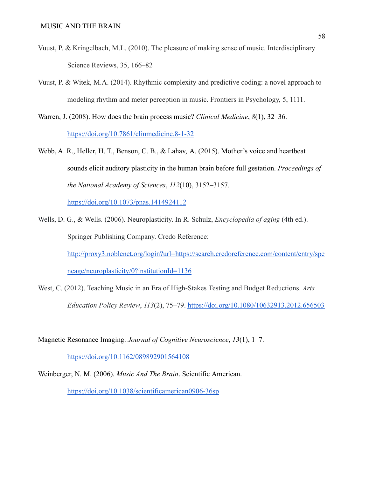- Vuust, P. & Kringelbach, M.L. (2010). The pleasure of making sense of music. Interdisciplinary Science Reviews, 35, 166–82
- Vuust, P. & Witek, M.A. (2014). Rhythmic complexity and predictive coding: a novel approach to modeling rhythm and meter perception in music. Frontiers in Psychology, 5, 1111.
- Warren, J. (2008). How does the brain process music? *Clinical Medicine*, *8*(1), 32–36. <https://doi.org/10.7861/clinmedicine.8-1-32>
- Webb, A. R., Heller, H. T., Benson, C. B., & Lahav, A. (2015). Mother's voice and heartbeat sounds elicit auditory plasticity in the human brain before full gestation. *Proceedings of the National Academy of Sciences*, *112*(10), 3152–3157[.](https://doi.org/10.1073/pnas.1414924112)

<https://doi.org/10.1073/pnas.1414924112>

- Wells, D. G., & Wells. (2006). Neuroplasticity. In R. Schulz, *Encyclopedia of aging* (4th ed.). Springer Publishing Company. Credo Reference: [http://proxy3.noblenet.org/login?url=https://search.credoreference.com/content/entry/spe](http://proxy3.noblenet.org/login?url=https://search.credoreference.com/content/entry/spencage/neuroplasticity/0?institutionId=1136) [ncage/neuroplasticity/0?institutionId=1136](http://proxy3.noblenet.org/login?url=https://search.credoreference.com/content/entry/spencage/neuroplasticity/0?institutionId=1136)
- West, C. (2012). Teaching Music in an Era of High-Stakes Testing and Budget Reductions. *Arts Education Policy Review*, *113*(2), 75–79. <https://doi.org/10.1080/10632913.2012.656503>

Magnetic Resonance Imaging. *Journal of Cognitive Neuroscience*, *13*(1), 1–7[.](https://doi.org/10.1162/089892901564108)

<https://doi.org/10.1162/089892901564108>

Weinberger, N. M. (2006). *Music And The Brain*. Scientific American.

<https://doi.org/10.1038/scientificamerican0906-36sp>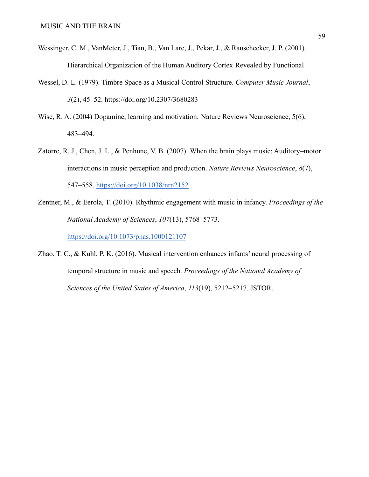- Wessinger, C. M., VanMeter, J., Tian, B., Van Lare, J., Pekar, J., & Rauschecker, J. P. (2001). Hierarchical Organization of the Human Auditory Cortex Revealed by Functional
- Wessel, D. L. (1979). Timbre Space as a Musical Control Structure. *Computer Music Journal*, *3*(2), 45–52. <https://doi.org/10.2307/3680283>
- Wise, R. A. (2004) Dopamine, learning and motivation. Nature Reviews Neuroscience, 5(6), 483–494.
- Zatorre, R. J., Chen, J. L., & Penhune, V. B. (2007). When the brain plays music: Auditory–motor interactions in music perception and production. *Nature Reviews Neuroscience*, *8*(7), 547–558. <https://doi.org/10.1038/nrn2152>
- Zentner, M., & Eerola, T. (2010). Rhythmic engagement with music in infancy. *Proceedings of the National Academy of Sciences*, *107*(13), 5768–5773[.](https://doi.org/10.1073/pnas.1000121107)

<https://doi.org/10.1073/pnas.1000121107>

Zhao, T. C., & Kuhl, P. K. (2016). Musical intervention enhances infants' neural processing of temporal structure in music and speech. *Proceedings of the National Academy of Sciences of the United States of America*, *113*(19), 5212–5217. JSTOR.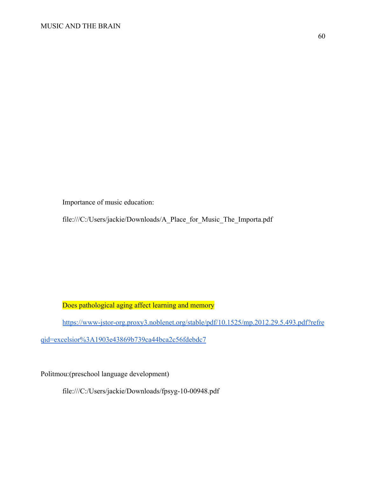Importance of music education:

file:///C:/Users/jackie/Downloads/A\_Place\_for\_Music\_The\_Importa.pdf

Does pathological aging affect learning and memory

[https://www-jstor-org.proxy3.noblenet.org/stable/pdf/10.1525/mp.2012.29.5.493.pdf?refre](https://www-jstor-org.proxy3.noblenet.org/stable/pdf/10.1525/mp.2012.29.5.493.pdf?refreqid=excelsior%3A1903e43869b739ca44bca2c56fdebdc7)

[qid=excelsior%3A1903e43869b739ca44bca2c56fdebdc7](https://www-jstor-org.proxy3.noblenet.org/stable/pdf/10.1525/mp.2012.29.5.493.pdf?refreqid=excelsior%3A1903e43869b739ca44bca2c56fdebdc7)

Politmou:(preschool language development)

file:///C:/Users/jackie/Downloads/fpsyg-10-00948.pdf